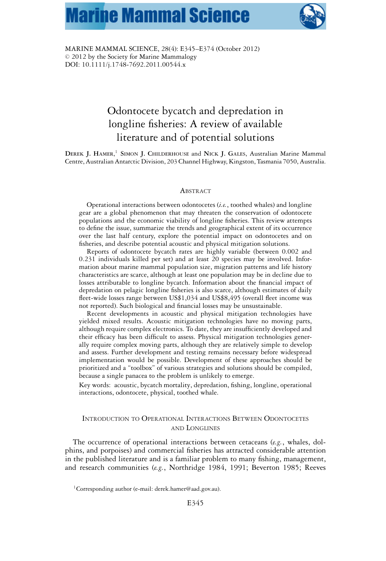# **Marine Mammal Science**



MARINE MAMMAL SCIENCE, 28(4): E345–E374 (October 2012)  $© 2012$  by the Society for Marine Mammalogy DOI: 10.1111/j.1748-7692.2011.00544.x

# Odontocete bycatch and depredation in longline fisheries: A review of available literature and of potential solutions

**DEREK J. HAMER**, <sup>1</sup> **SIMON J. CHILDERHOUSE** and **NICK J. GALES**, Australian Marine Mammal Centre, Australian Antarctic Division, 203 Channel Highway, Kingston, Tasmania 7050, Australia.

#### **ABSTRACT**

Operational interactions between odontocetes (*i.e.*, toothed whales) and longline gear are a global phenomenon that may threaten the conservation of odontocete populations and the economic viability of longline fisheries. This review attempts to define the issue, summarize the trends and geographical extent of its occurrence over the last half century, explore the potential impact on odontocetes and on fisheries, and describe potential acoustic and physical mitigation solutions.

Reports of odontocete bycatch rates are highly variable (between 0.002 and 0.231 individuals killed per set) and at least 20 species may be involved. Information about marine mammal population size, migration patterns and life history characteristics are scarce, although at least one population may be in decline due to losses attributable to longline bycatch. Information about the financial impact of depredation on pelagic longline fisheries is also scarce, although estimates of daily fleet-wide losses range between US\$1,034 and US\$8,495 (overall fleet income was not reported). Such biological and financial losses may be unsustainable.

Recent developments in acoustic and physical mitigation technologies have yielded mixed results. Acoustic mitigation technologies have no moving parts, although require complex electronics. To date, they are insufficiently developed and their efficacy has been difficult to assess. Physical mitigation technologies generally require complex moving parts, although they are relatively simple to develop and assess. Further development and testing remains necessary before widespread implementation would be possible. Development of these approaches should be prioritized and a "toolbox" of various strategies and solutions should be compiled, because a single panacea to the problem is unlikely to emerge.

Key words: acoustic, bycatch mortality, depredation, fishing, longline, operational interactions, odontocete, physical, toothed whale.

# INTRODUCTION TO OPERATIONAL INTERACTIONS BETWEEN ODONTOCETES AND LONGLINES

The occurrence of operational interactions between cetaceans (*e.g.*, whales, dolphins, and porpoises) and commercial fisheries has attracted considerable attention in the published literature and is a familiar problem to many fishing, management, and research communities (*e.g.*, Northridge 1984, 1991; Beverton 1985; Reeves

<sup>1</sup>Corresponding author (e-mail: derek.hamer@aad.gov.au).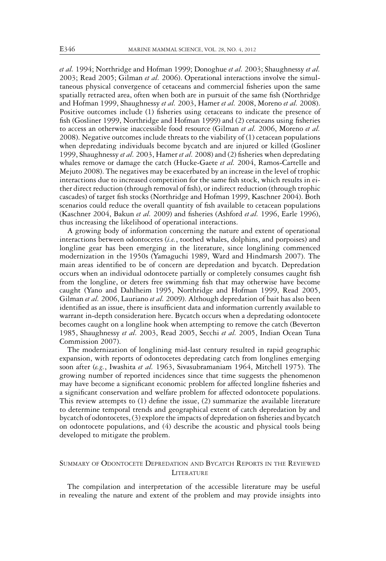*et al.* 1994; Northridge and Hofman 1999; Donoghue *et al.* 2003; Shaughnessy *et al.* 2003; Read 2005; Gilman *et al.* 2006). Operational interactions involve the simultaneous physical convergence of cetaceans and commercial fisheries upon the same spatially retracted area, often when both are in pursuit of the same fish (Northridge and Hofman 1999, Shaughnessy *et al.* 2003, Hamer *et al.* 2008, Moreno *et al.* 2008). Positive outcomes include (1) fisheries using cetaceans to indicate the presence of fish (Gosliner 1999, Northridge and Hofman 1999) and (2) cetaceans using fisheries to access an otherwise inaccessible food resource (Gilman *et al.* 2006, Moreno *et al.* 2008). Negative outcomes include threats to the viability of (1) cetacean populations when depredating individuals become bycatch and are injured or killed (Gosliner 1999, Shaughnessy *et al.* 2003, Hamer *et al.* 2008) and (2) fisheries when depredating whales remove or damage the catch (Hucke-Gaete *et al.* 2004, Ramos-Cartelle and Mejuto 2008). The negatives may be exacerbated by an increase in the level of trophic interactions due to increased competition for the same fish stock, which results in either direct reduction (through removal of fish), or indirect reduction (through trophic cascades) of target fish stocks (Northridge and Hofman 1999, Kaschner 2004). Both scenarios could reduce the overall quantity of fish available to cetacean populations (Kaschner 2004, Bakun *et al.* 2009) and fisheries (Ashford *et al.* 1996, Earle 1996), thus increasing the likelihood of operational interactions.

A growing body of information concerning the nature and extent of operational interactions between odontocetes (*i.e.*, toothed whales, dolphins, and porpoises) and longline gear has been emerging in the literature, since longlining commenced modernization in the 1950s (Yamaguchi 1989, Ward and Hindmarsh 2007). The main areas identified to be of concern are depredation and bycatch. Depredation occurs when an individual odontocete partially or completely consumes caught fish from the longline, or deters free swimming fish that may otherwise have become caught (Yano and Dahlheim 1995, Northridge and Hofman 1999, Read 2005, Gilman *et al.* 2006, Lauriano *et al.* 2009). Although depredation of bait has also been identified as an issue, there is insufficient data and information currently available to warrant in-depth consideration here. Bycatch occurs when a depredating odontocete becomes caught on a longline hook when attempting to remove the catch (Beverton 1985, Shaughnessy *et al.* 2003, Read 2005, Secchi *et al.* 2005, Indian Ocean Tuna Commission 2007).

The modernization of longlining mid-last century resulted in rapid geographic expansion, with reports of odontocetes depredating catch from longlines emerging soon after (*e.g.*, Iwashita *et al.* 1963, Sivasubramaniam 1964, Mitchell 1975). The growing number of reported incidences since that time suggests the phenomenon may have become a significant economic problem for affected longline fisheries and a significant conservation and welfare problem for affected odontocete populations. This review attempts to (1) define the issue, (2) summarize the available literature to determine temporal trends and geographical extent of catch depredation by and bycatch of odontocetes, (3) explore the impacts of depredation on fisheries and bycatch on odontocete populations, and (4) describe the acoustic and physical tools being developed to mitigate the problem.

# SUMMARY OF ODONTOCETE DEPREDATION AND BYCATCH REPORTS IN THE REVIEWED **LITERATURE**

The compilation and interpretation of the accessible literature may be useful in revealing the nature and extent of the problem and may provide insights into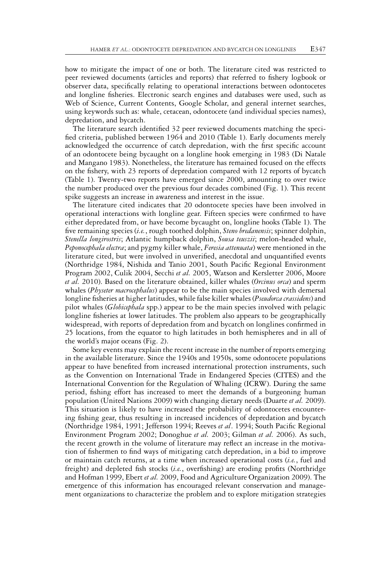how to mitigate the impact of one or both. The literature cited was restricted to peer reviewed documents (articles and reports) that referred to fishery logbook or observer data, specifically relating to operational interactions between odontocetes and longline fisheries. Electronic search engines and databases were used, such as Web of Science, Current Contents, Google Scholar, and general internet searches, using keywords such as: whale, cetacean, odontocete (and individual species names), depredation, and bycatch.

The literature search identified 32 peer reviewed documents matching the specified criteria, published between 1964 and 2010 (Table 1). Early documents merely acknowledged the occurrence of catch depredation, with the first specific account of an odontocete being bycaught on a longline hook emerging in 1983 (Di Natale and Mangano 1983). Nonetheless, the literature has remained focused on the effects on the fishery, with 23 reports of depredation compared with 12 reports of bycatch (Table 1). Twenty-two reports have emerged since 2000, amounting to over twice the number produced over the previous four decades combined (Fig. 1). This recent spike suggests an increase in awareness and interest in the issue.

The literature cited indicates that 20 odontocete species have been involved in operational interactions with longline gear. Fifteen species were confirmed to have either depredated from, or have become bycaught on, longline hooks (Table 1). The five remaining species (*i.e.*, rough toothed dolphin, *Steno bredanensis*; spinner dolphin, *Stenella longirostris*; Atlantic humpback dolphin, *Sousa teuszii*; melon-headed whale, *Peponocephala electra*; and pygmy killer whale, *Feresia attenuata*) were mentioned in the literature cited, but were involved in unverified, anecdotal and unquantified events (Northridge 1984, Nishida and Tanio 2001, South Pacific Regional Environment Program 2002, Culik 2004, Secchi *et al.* 2005, Watson and Kersletter 2006, Moore *et al.* 2010). Based on the literature obtained, killer whales (*Orcinus orca*) and sperm whales (*Physeter macrocephalus*) appear to be the main species involved with demersal longline fisheries at higher latitudes, while false killer whales (*Pseudorca crassidens*) and pilot whales (*Globicephala* spp.) appear to be the main species involved with pelagic longline fisheries at lower latitudes. The problem also appears to be geographically widespread, with reports of depredation from and bycatch on longlines confirmed in 25 locations, from the equator to high latitudes in both hemispheres and in all of the world's major oceans (Fig. 2).

Some key events may explain the recent increase in the number of reports emerging in the available literature. Since the 1940s and 1950s, some odontocete populations appear to have benefited from increased international protection instruments, such as the Convention on International Trade in Endangered Species (CITES) and the International Convention for the Regulation of Whaling (ICRW). During the same period, fishing effort has increased to meet the demands of a burgeoning human population (United Nations 2009) with changing dietary needs (Duarte *et al.* 2009). This situation is likely to have increased the probability of odontocetes encountering fishing gear, thus resulting in increased incidences of depredation and bycatch (Northridge 1984, 1991; Jefferson 1994; Reeves *et al*. 1994; South Pacific Regional Environment Program 2002; Donoghue *et al.* 2003; Gilman *et al.* 2006). As such, the recent growth in the volume of literature may reflect an increase in the motivation of fishermen to find ways of mitigating catch depredation, in a bid to improve or maintain catch returns, at a time when increased operational costs (*i.e.*, fuel and freight) and depleted fish stocks (*i.e.*, overfishing) are eroding profits (Northridge and Hofman 1999, Ebert *et al.* 2009, Food and Agriculture Organization 2009). The emergence of this information has encouraged relevant conservation and management organizations to characterize the problem and to explore mitigation strategies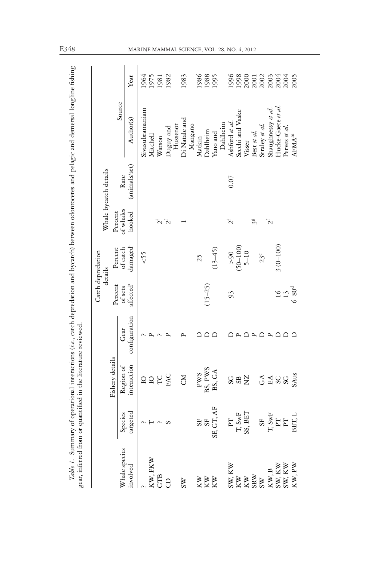| gear, inferred from or quantified in the literature reviewed                                          |                                                                      |                 |               |                                      |                              |                                  |                       | Table 1. Summary of operational interactions (i.e., catch depredation and bycatch) between odontocetes and pelagic and demersal longline fishing |                              |
|-------------------------------------------------------------------------------------------------------|----------------------------------------------------------------------|-----------------|---------------|--------------------------------------|------------------------------|----------------------------------|-----------------------|--------------------------------------------------------------------------------------------------------------------------------------------------|------------------------------|
|                                                                                                       |                                                                      |                 |               |                                      | Catch depredation<br>details |                                  | Whale bycatch details |                                                                                                                                                  |                              |
|                                                                                                       |                                                                      | Fishery details |               | Percent                              | Percent                      | Percent                          |                       |                                                                                                                                                  |                              |
| Whale species<br>involved                                                                             | Species                                                              | Region of       | Gear          | affected <sup>c</sup><br>of sets     | of catch                     | of whales<br>hooked              | (animals/set)<br>Rate | Source<br>Author(s)                                                                                                                              | Year                         |
|                                                                                                       | targeted                                                             | interaction     | configuration |                                      | damaged <sup>c</sup>         |                                  |                       |                                                                                                                                                  |                              |
|                                                                                                       |                                                                      | $\Omega$        |               |                                      | 55                           |                                  |                       | Sivasubramaniam                                                                                                                                  | 1964                         |
| KW, FKW                                                                                               |                                                                      |                 | ≏             |                                      |                              |                                  |                       | Mitchell                                                                                                                                         | 1975                         |
| <b>GTB</b>                                                                                            |                                                                      | $_{\rm Q}$ C    |               |                                      |                              | $2^f$                            |                       | Watson                                                                                                                                           | 1981                         |
| 8                                                                                                     | S                                                                    | FAC             |               |                                      |                              |                                  |                       | Duguy and                                                                                                                                        | 1982                         |
|                                                                                                       |                                                                      |                 |               |                                      |                              |                                  |                       | Hussenot                                                                                                                                         |                              |
| S <sub>W</sub>                                                                                        |                                                                      | KO              |               |                                      |                              |                                  |                       | Di Natale and                                                                                                                                    | 1983                         |
|                                                                                                       |                                                                      |                 |               |                                      |                              |                                  |                       | Mangano                                                                                                                                          |                              |
|                                                                                                       | $S_{\rm F}$                                                          | <b>PWS</b>      |               |                                      | 25                           |                                  |                       | Matkin                                                                                                                                           | 1986                         |
| $\begin{array}{c} \mathbb{K}\mathbb{W} \\ \mathbb{K}\mathbb{W} \\ \mathbb{W} \end{array}$             | 55                                                                   | BS, PWS         |               | $(15-25)$                            |                              |                                  |                       | Dahlheim                                                                                                                                         | 1988                         |
|                                                                                                       | LT.<br>SF, GT, A                                                     | BS, GA          |               |                                      | $(13-45)$                    |                                  |                       | Yano and                                                                                                                                         | 1995                         |
|                                                                                                       |                                                                      |                 |               |                                      |                              |                                  |                       | Dahlheim                                                                                                                                         |                              |
| SW, KW                                                                                                | Ę                                                                    | SG              |               | 93                                   |                              | $\tilde{\mathcal{L}}^{\text{f}}$ | 0.07                  | Ashford et al.                                                                                                                                   | 1996                         |
| $\mathbf{K}\mathbf{W}$                                                                                | $T,$ $\mathbf{SwF}$                                                  | $\rm SB$        |               |                                      | $>90$<br>(50-100)<br>5-10    |                                  |                       | Secchi and Vaske                                                                                                                                 | 1998<br>2000<br>2001<br>2002 |
| $\mathbf{K}\mathbf{W}$                                                                                | SS, BET                                                              | $\Sigma$        |               |                                      |                              |                                  |                       | Visser                                                                                                                                           |                              |
| SRW                                                                                                   |                                                                      |                 |               |                                      |                              | 38                               |                       | Best et al.                                                                                                                                      |                              |
| ws                                                                                                    | SF                                                                   | $G\Lambda$      |               |                                      | $23^e$                       |                                  |                       | Straley et al.                                                                                                                                   |                              |
|                                                                                                       |                                                                      | ESS<br>SS       | $\sim$        |                                      |                              | $\tilde{c}^f$                    |                       | Shaughnessy et al.                                                                                                                               | 2003                         |
| $\begin{array}{c} \text{KW, } \text{B} \\ \text{SW, } \text{KW} \\ \text{SW, } \text{KW} \end{array}$ | $\begin{array}{c} \text{T, SwF}\\ \text{PT}\\ \text{PT} \end{array}$ |                 |               |                                      | $3(0-100)$                   |                                  |                       | Hucke-Gaete et al.                                                                                                                               | 2004<br>2004                 |
|                                                                                                       |                                                                      |                 |               |                                      |                              |                                  |                       | Perves et al.                                                                                                                                    |                              |
| KW, PW                                                                                                | BET, L                                                               | <b>SAus</b>     |               | $\frac{16}{13}$<br>6-80 <sup>d</sup> |                              |                                  |                       | <b>AFMA<sup>m</sup></b>                                                                                                                          | 2005                         |

E348 MARINE MAMMAL SCIENCE, VOL. 28, NO. 4, 2012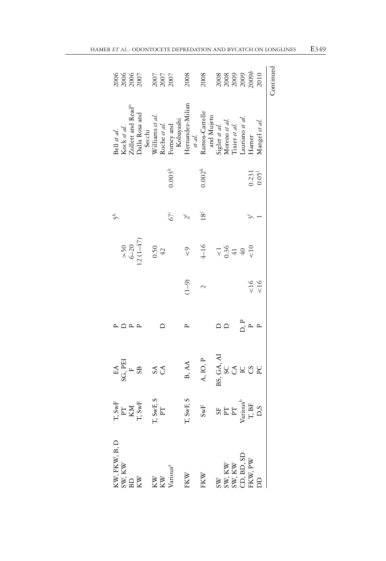| Continuec                            |                                                                                                                                                               |                                              |                |                                  |               |              |                                                                                                                                         |                                                                                                               |                                                                                                                                          |
|--------------------------------------|---------------------------------------------------------------------------------------------------------------------------------------------------------------|----------------------------------------------|----------------|----------------------------------|---------------|--------------|-----------------------------------------------------------------------------------------------------------------------------------------|---------------------------------------------------------------------------------------------------------------|------------------------------------------------------------------------------------------------------------------------------------------|
|                                      | Mangel et al.                                                                                                                                                 |                                              |                |                                  |               | $\mathsf{P}$ |                                                                                                                                         |                                                                                                               |                                                                                                                                          |
| 2008<br>2009<br>2009<br>2009<br>2010 | Hamer                                                                                                                                                         | $\begin{array}{c} 0.231 \\ 0.05 \end{array}$ |                |                                  | $rac{16}{16}$ |              |                                                                                                                                         | $\begin{array}{c} \text{SF}\\ \text{PT}\\ \text{Pr} \\ \text{Tr}, \text{BF}\\ \text{D}, \text{S} \end{array}$ |                                                                                                                                          |
|                                      | Lauriano et al                                                                                                                                                |                                              |                | $7\frac{36}{34}$ $40\frac{7}{8}$ |               | D, P         |                                                                                                                                         |                                                                                                               |                                                                                                                                          |
|                                      |                                                                                                                                                               |                                              |                |                                  |               |              |                                                                                                                                         |                                                                                                               |                                                                                                                                          |
|                                      |                                                                                                                                                               |                                              |                |                                  |               |              |                                                                                                                                         |                                                                                                               |                                                                                                                                          |
|                                      | Sigler et al.<br>Moreno et al.<br>Tixier et al.                                                                                                               |                                              |                |                                  |               |              | $\begin{array}{l} \text{BS, GA, AI} \\ \text{SCA} \\ \text{LCS} \\ \text{PC} \\ \end{array}$                                            |                                                                                                               | $\begin{array}{l} \mathrm{SW} \\ \mathrm{SW, KW} \\ \mathrm{SW, KW} \\ \mathrm{CW, B.D, SD} \\ \mathrm{FLW} \\ \mathrm{FKW} \end{array}$ |
|                                      | Ramos-Cartelle<br>and Mujeto                                                                                                                                  |                                              |                |                                  |               |              |                                                                                                                                         |                                                                                                               |                                                                                                                                          |
| 2008                                 |                                                                                                                                                               | $0.002^{k}$                                  | $\overline{8}$ | $4-16$                           | $\mathcal{L}$ |              | A, IO, P                                                                                                                                | $\mathbf{SwF}$                                                                                                | ${\rm FKW}$                                                                                                                              |
|                                      | et al.                                                                                                                                                        |                                              |                |                                  |               |              |                                                                                                                                         |                                                                                                               |                                                                                                                                          |
| 2008                                 | Hernandez-Milian                                                                                                                                              |                                              |                | $\sqrt{2}$                       | $(1-9)$       |              | B, AA                                                                                                                                   | T, SwF, S                                                                                                     | ${\tt FKW}$                                                                                                                              |
|                                      | Zollert and Read <sup>n</sup><br>Dalla Rosa and<br>Secchi<br>Williams <i>et al.</i><br>Roche <i>et al.</i><br>Roche <i>et al.</i><br>Forney and<br>Forney and |                                              |                |                                  |               |              |                                                                                                                                         |                                                                                                               |                                                                                                                                          |
|                                      |                                                                                                                                                               | $0.003^{k}$                                  | 671            |                                  |               |              |                                                                                                                                         |                                                                                                               |                                                                                                                                          |
| 2007<br>2007<br>2007                 |                                                                                                                                                               |                                              |                |                                  |               |              |                                                                                                                                         |                                                                                                               |                                                                                                                                          |
|                                      |                                                                                                                                                               |                                              |                | $0.50$<br>42                     |               |              | 34                                                                                                                                      | $\mathbf{T}, \mathbf{SwF}, \mathbf{S}$ PT                                                                     | $\begin{array}{c}\text{KW}\\ \text{KW}\\ \text{Arious}^a\end{array}$                                                                     |
|                                      |                                                                                                                                                               |                                              |                |                                  |               |              |                                                                                                                                         |                                                                                                               |                                                                                                                                          |
|                                      |                                                                                                                                                               |                                              |                | $>50$<br>$6-20$<br>$12(1-47)$    |               |              |                                                                                                                                         |                                                                                                               |                                                                                                                                          |
|                                      |                                                                                                                                                               |                                              |                |                                  |               |              |                                                                                                                                         |                                                                                                               |                                                                                                                                          |
| 2006<br>2006<br>2007<br>2007         | Bell et al.<br>Kock et al.                                                                                                                                    |                                              |                |                                  |               |              | $\begin{array}{c} \mathbb{E}\mathbf{A}\\ \mathbb{SG},\, \mathbb{P}\mathbb{E}\mathbb{I}\\ \mathbb{F}\\ \mathbb{S}\mathbb{B} \end{array}$ | $\begin{array}{c} T, \textsc{SwF} \\ \textsc{PT} \\ \textsc{KM} \\ T, \textsc{SwF} \end{array}$               | $\begin{array}{l} \begin{array}{lcl} \text{KW, FKW, B, D} \\ \text{SW, KW} \\ \text{BD} \\ \text{KW} \end{array} \end{array}$            |
|                                      |                                                                                                                                                               |                                              | $\frac{1}{2}$  |                                  |               |              |                                                                                                                                         |                                                                                                               |                                                                                                                                          |
|                                      |                                                                                                                                                               |                                              |                |                                  |               |              |                                                                                                                                         |                                                                                                               |                                                                                                                                          |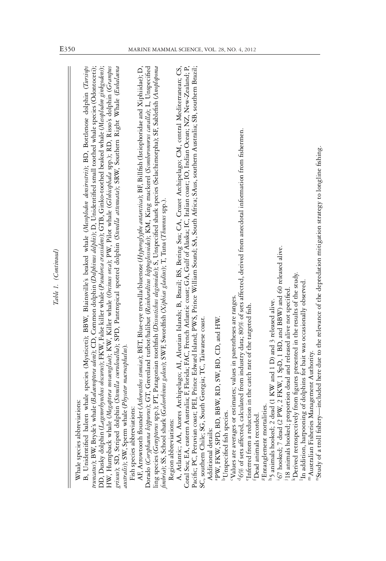Table 1. (Continued) *Table 1. (Continued)*

> Whale species abbreviations: Whale species abbreviations:

DD, Dusky dolphin (Lagenorbynchus obscurna); FKW, False killer whale (Pseudorca crassidens); GTB, Ginko-toothed beaked whale (Mesophodon ginkgodens); HW, Humpback whale (Megaptera novaengliae); KW, Killer whale (Orcinus orca); PW, Pilot whale (Globicephala spp.); RD, Risso's dolphin (Grampus griseus); SD, Striped dolphin (Stenella coeruleoalba); SPD, Pantropical spotted dolphin (Stenella attenuata); SRW, Southern Right Whale (Eubalaena B, Unidentified baleen whale species (Mysticeti); BBW, Blainsville's beaked whale (Mesoplodon densirostris); BD, Bortlenose dolphin (Tursiops B, Unidentified baleen whale species (Mysticeti); BBW, Blainsville's beaked whale (*Mesoplodon densirostris*); BD, Bottlenose dolphin (*Tursiops* truncatus); BW, Bryde's whale (Balaenoptera edeni); CD, Common dolphin (Delphinus delphis); D, Unidentified small toothed whale species (Odontoceti); *truncatus*); BW, Bryde's whale (*Balaenoptera edeni*); CD, Common dolphin (*Delphinus delphis*); D, Unidentified small toothed whale species (Odontoceti); DD, Dusky dolphin (*Lagenorhynchus obscurus*); FKW, False killer whale (*Pseudorca crassidens*); GTB, Ginko-toothed beaked whale (*Mesoplodon ginkgodens*); HW, Humpback whale (*Megaptera novaengliae*); KW, Killer whale (*Orcinus orca*); PW, Pilot whale (*Globicephala* spp.); RD, Risso's dolphin (*Grampus griseus*); SD, Striped dolphin (*Stenella coeruleoalba*); SPD, Pantropical spotted dolphin (*Stenella attenuata*); SRW, Southern Right Whale (*Eubalaena* australis); SW, Sperm whale (Physeter macrocephalus). *australis*); SW, Sperm whale (*Physeter macrocephalus*).

Fish species abbreviations: Fish species abbreviations:

AF, Arrowtooth flounder (*Atheresthes stomias*); BET, Blue-eye trevalla/bluenose (*Hyperoglyphe antarctica*); BF, Billfish (Istiophoridae and Xiphiidae); D, Dorado (Coryphaena hippurus); GT, Greenland turbot/halibut (Reinhardiius hippoglosoides); KM, King mackerel (Scomberonorus cavalla); L, Unspecified Dorado (*Coryphaena hippurus*); GT, Greenland turbot/halibut (*Reinhardtius hippoglossoides*); KM, King mackerel (*Scomberomorus cavalla*); L, Unspecified ling species (Genypterus spp.); PT, Patagonian toothfish (Dissostichus eleginoides); S, Unspecified shark species (Selachimorpha); SF, Sablefish (Anghopoma ling species (*Genypterus* spp.); PT, Patagonian toothfish (*Dissostichus eleginoides*); S, Unspecified shark species (Selachimorpha); SF, Sablefish (*Anoplopoma* AF, Arrowtooth flounder (Atheresthes stomias); BET, Blue-eye trevalla/bluenose (Hyperoglyphe antarctica); BF, Billfish (Istiophoridae and Xiphiidae); D. funbria); SS, School shark (Galeerhinus galeus); SWF, Swordfish (Xiphias gladius); T, Tuna (Thunus spp.). *fimbria*); SS, School shark (*Galeorhinus galeus*); SWF, Swordfish (*Xiphias gladius*); T, Tuna (*Thunnus* spp.).

Region abbreviations: Region abbreviations:

Coral Sea; EA, eastern Australia; F, Florida; FAC, French Atlantic coast; GA, Gulf of Alaska; IC, Italian coast; IO, Indian Ocean; NZ, New-Zealand; P, Pacific; PC, Peruvian coast; PEI, Prince Edward Island; PWS, Prince William Sound; SA, South Africa; SAus, southern Australia; SB, southern Brazil; A, Atlantic; AA, Azores Archipelago; AI, Aleutian Islands; B, Brazil; BS, Bering Sea; CA, Crozet Archipelago; CM, central Mediterranear; CS, A, Atlantic; AA, Azores Archipelago; AI, Aleutian Islands; B, Brazil; BS, Bering Sea; CA, Crozet Archipelago; CM, central Mediterranean; CS, Coral Sea; EA, eastern Australia; F, Florida; FAC, French Atlantic coast; GA, Gulf of Alaska; IC, Italian coast; IO, Indian Ocean; NZ, New-Zealand; P, Pacific; PC, Peruvian coast; PEI, Prince Edward Island; PWS, Prince William Sound; SA, South Africa; SAus, southern Australia; SB, southern Brazil; SC, southern Chile; SG, South Georgia; TC, Taiwanese coast. SC, southern Chile; SG, South Georgia; TC, Taiwanese coast.

Additional details: Additional details:

apW, FKW, SPD, BD, BBW, RD, SW, BD, CD, and HW. aPW, FKW, SPD, BD, BBW, RD, SW, BD, CD, and HW.

<sup>b</sup>Unspecified fish species. bUnspecified fish species.

"Values are averages or estimates; values in parentheses are ranges. cValues are averages or estimates; values in parentheses are ranges.

 ${}^46%$  of sets affected, calculated from industry data; 80% of sets affected, derived from anecdotal information from fishermen.  $^{4}6\%$  of sets affected, calculated from industry data; 80% of sets affected, derived from anecdotal information from fishermen.

'Inferred from a reduction in the catch rate of the targeted fish. eInferred from a reduction in the catch rate of the targeted fish. fDead animals recorded.

<sup>8</sup>Entanglement mortalities. Dead animals recorded.

h5 animals hooked; 2 dead (1 KW and 1 D) and 3 released alive. h5 animals hooked; 2 dead (1 KW and 1 D) and 3 released alive. <sup>g</sup>Entanglement mortalities.

67 hooked; 7 dead (2 PW, 2 FKW, 1 SpD, 1 BD, and BBW) and 60 released alive. i67 hooked; 7 dead (2 PW, 2 FKW, 1 SpD, 1 BD, and BBW) and 60 released alive.

j18 animals hooked; proportion dead and released alive not specified. 118 animals hooked; proportion dead and released alive not specified.

EDerived retrospectively from figures presented in the results of the study. kDerived retrospectively from figures presented in the results of the study.

In addition, harpooning of dolphins for bait was occasionally observed. In addition, harpooning of dolphins for bait was occasionally observed.

<sup>m</sup>Australian Fisheries Management Authority. mAustralian Fisheries Management Authority.

"Study of a troll fishery—included here due to the relevance of the depredation mitigation strategy to longline fishing.  $^\circ$ Study of a troll fishery—included here due to the relevance of the depredation mitigation strategy to longline fishing.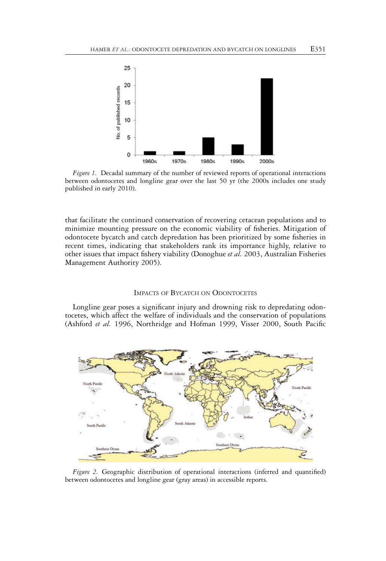

*Figure 1.* Decadal summary of the number of reviewed reports of operational interactions between odontocetes and longline gear over the last 50 yr (the 2000s includes one study published in early 2010).

that facilitate the continued conservation of recovering cetacean populations and to minimize mounting pressure on the economic viability of fisheries. Mitigation of odontocete bycatch and catch depredation has been prioritized by some fisheries in recent times, indicating that stakeholders rank its importance highly, relative to other issues that impact fishery viability (Donoghue *et al.* 2003, Australian Fisheries Management Authority 2005).

## IMPACTS OF BYCATCH ON ODONTOCETES

Longline gear poses a significant injury and drowning risk to depredating odontocetes, which affect the welfare of individuals and the conservation of populations (Ashford *et al.* 1996, Northridge and Hofman 1999, Visser 2000, South Pacific



*Figure 2.* Geographic distribution of operational interactions (inferred and quantified) between odontocetes and longline gear (gray areas) in accessible reports.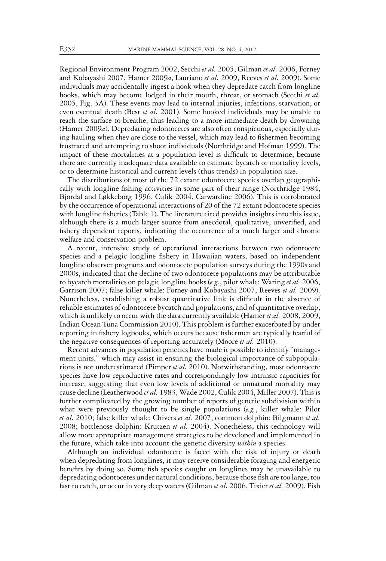Regional Environment Program 2002, Secchi *et al.* 2005, Gilman *et al.* 2006, Forney and Kobayashi 2007, Hamer 2009*a*, Lauriano *et al.* 2009, Reeves *et al.* 2009). Some individuals may accidentally ingest a hook when they depredate catch from longline hooks, which may become lodged in their mouth, throat, or stomach (Secchi *et al.* 2005, Fig. 3A). These events may lead to internal injuries, infections, starvation, or even eventual death (Best *et al.* 2001). Some hooked individuals may be unable to reach the surface to breathe, thus leading to a more immediate death by drowning (Hamer 2009*a*). Depredating odontocetes are also often conspicuous, especially during hauling when they are close to the vessel, which may lead to fishermen becoming frustrated and attempting to shoot individuals (Northridge and Hofman 1999). The impact of these mortalities at a population level is difficult to determine, because there are currently inadequate data available to estimate bycatch or mortality levels, or to determine historical and current levels (thus trends) in population size.

The distributions of most of the 72 extant odontocete species overlap geographically with longline fishing activities in some part of their range (Northridge 1984, Bjordal and Løkkeborg 1996, Culik 2004, Carwardine 2006). This is corroborated by the occurrence of operational interactions of 20 of the 72 extant odontocete species with longline fisheries (Table 1). The literature cited provides insights into this issue, although there is a much larger source from anecdotal, qualitative, unverified, and fishery dependent reports, indicating the occurrence of a much larger and chronic welfare and conservation problem.

A recent, intensive study of operational interactions between two odontocete species and a pelagic longline fishery in Hawaiian waters, based on independent longline observer programs and odontocete population surveys during the 1990s and 2000s, indicated that the decline of two odontocete populations may be attributable to bycatch mortalities on pelagic longline hooks (*e.g.*, pilot whale: Waring *et al.* 2006, Garrison 2007; false killer whale: Forney and Kobayashi 2007, Reeves *et al.* 2009). Nonetheless, establishing a robust quantitative link is difficult in the absence of reliable estimates of odontocete bycatch and populations, and of quantitative overlap, which is unlikely to occur with the data currently available (Hamer *et al.* 2008, 2009, Indian Ocean Tuna Commission 2010). This problem is further exacerbated by under reporting in fishery logbooks, which occurs because fishermen are typically fearful of the negative consequences of reporting accurately (Moore *et al.* 2010).

Recent advances in population genetics have made it possible to identify "management units," which may assist in ensuring the biological importance of subpopulations is not underestimated (Pimper *et al.* 2010). Notwithstanding, most odontocete species have low reproductive rates and correspondingly low intrinsic capacities for increase, suggesting that even low levels of additional or unnatural mortality may cause decline (Leatherwood *et al.* 1983, Wade 2002, Culik 2004, Miller 2007). This is further complicated by the growing number of reports of genetic subdivision within what were previously thought to be single populations (*e.g.*, killer whale: Pilot *et al.* 2010; false killer whale: Chivers *et al.* 2007; common dolphin: Bilgmann *et al.* 2008; bottlenose dolphin: Krutzen *et al.* 2004). Nonetheless, this technology will allow more appropriate management strategies to be developed and implemented in the future, which take into account the genetic diversity *within* a species.

Although an individual odontocete is faced with the risk of injury or death when depredating from longlines, it may receive considerable foraging and energetic benefits by doing so. Some fish species caught on longlines may be unavailable to depredating odontocetes under natural conditions, because those fish are too large, too fast to catch, or occur in very deep waters (Gilman *et al.* 2006, Tixier *et al.* 2009). Fish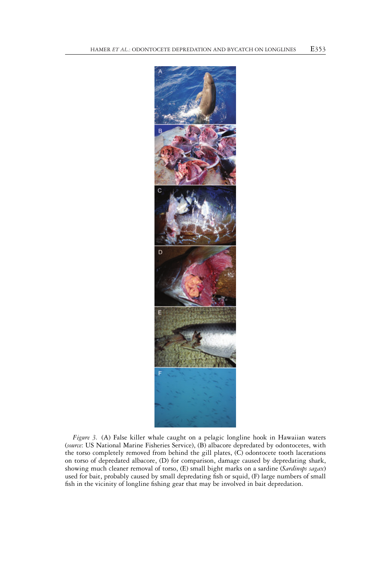

*Figure 3.* (A) False killer whale caught on a pelagic longline hook in Hawaiian waters (*source*: US National Marine Fisheries Service), (B) albacore depredated by odontocetes, with the torso completely removed from behind the gill plates, (C) odontocete tooth lacerations on torso of depredated albacore, (D) for comparison, damage caused by depredating shark, showing much cleaner removal of torso, (E) small bight marks on a sardine (*Sardinops sagax*) used for bait, probably caused by small depredating fish or squid, (F) large numbers of small fish in the vicinity of longline fishing gear that may be involved in bait depredation.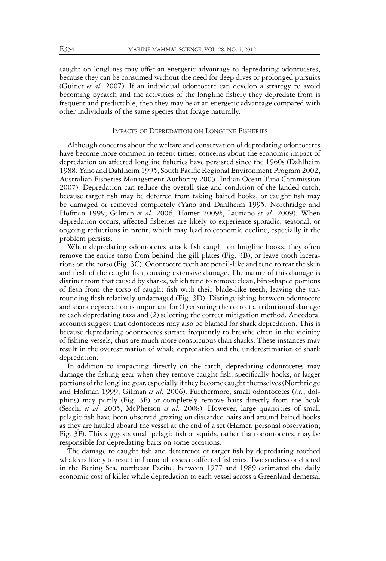caught on longlines may offer an energetic advantage to depredating odontocetes, because they can be consumed without the need for deep dives or prolonged pursuits (Guinet *et al.* 2007). If an individual odontocete can develop a strategy to avoid becoming bycatch and the activities of the longline fishery they depredate from is frequent and predictable, then they may be at an energetic advantage compared with other individuals of the same species that forage naturally.

#### IMPACTS OF DEPREDATION ON LONGLINE FISHERIES

Although concerns about the welfare and conservation of depredating odontocetes have become more common in recent times, concerns about the economic impact of depredation on affected longline fisheries have persisted since the 1960s (Dahlheim 1988, Yano and Dahlheim 1995, South Pacific Regional Environment Program 2002, Australian Fisheries Management Authority 2005, Indian Ocean Tuna Commission 2007). Depredation can reduce the overall size and condition of the landed catch, because target fish may be deterred from taking baited hooks, or caught fish may be damaged or removed completely (Yano and Dahlheim 1995, Northridge and Hofman 1999, Gilman *et al.* 2006, Hamer 2009*b*, Lauriano *et al.* 2009). When depredation occurs, affected fisheries are likely to experience sporadic, seasonal, or ongoing reductions in profit, which may lead to economic decline, especially if the problem persists.

When depredating odontocetes attack fish caught on longline hooks, they often remove the entire torso from behind the gill plates (Fig. 3B), or leave tooth lacerations on the torso (Fig. 3C). Odontocete teeth are pencil-like and tend to tear the skin and flesh of the caught fish, causing extensive damage. The nature of this damage is distinct from that caused by sharks, which tend to remove clean, bite-shaped portions of flesh from the torso of caught fish with their blade-like teeth, leaving the surrounding flesh relatively undamaged (Fig. 3D). Distinguishing between odontocete and shark depredation is important for (1) ensuring the correct attribution of damage to each depredating taxa and (2) selecting the correct mitigation method. Anecdotal accounts suggest that odontocetes may also be blamed for shark depredation. This is because depredating odontocetes surface frequently to breathe often in the vicinity of fishing vessels, thus are much more conspicuous than sharks. These instances may result in the overestimation of whale depredation and the underestimation of shark depredation.

In addition to impacting directly on the catch, depredating odontocetes may damage the fishing gear when they remove caught fish, specifically hooks, or larger portions of the longline gear, especially if they become caught themselves (Northridge and Hofman 1999, Gilman *et al.* 2006). Furthermore, small odontocetes (*i.e.*, dolphins) may partly (Fig. 3E) or completely remove baits directly from the hook (Secchi *et al.* 2005, McPherson *et al.* 2008). However, large quantities of small pelagic fish have been observed grazing on discarded baits and around baited hooks as they are hauled aboard the vessel at the end of a set (Hamer, personal observation; Fig. 3F). This suggests small pelagic fish or squids, rather than odontocetes, may be responsible for depredating baits on some occasions.

The damage to caught fish and deterrence of target fish by depredating toothed whales is likely to result in financial losses to affected fisheries. Two studies conducted in the Bering Sea, northeast Pacific, between 1977 and 1989 estimated the daily economic cost of killer whale depredation to each vessel across a Greenland demersal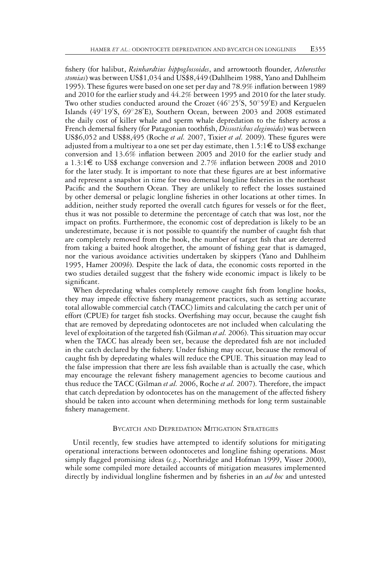fishery (for halibut, *Reinhardtius hippoglossoides*, and arrowtooth flounder, *Atheresthes stomias*) was between US\$1,034 and US\$8,449 (Dahlheim 1988, Yano and Dahlheim 1995). These figures were based on one set per day and 78.9% inflation between 1989 and 2010 for the earlier study and 44.2% between 1995 and 2010 for the later study. Two other studies conducted around the Crozet (46◦25 S, 50◦59 E) and Kerguelen Islands (49◦19 S, 69◦28 E), Southern Ocean, between 2003 and 2008 estimated the daily cost of killer whale and sperm whale depredation to the fishery across a French demersal fishery (for Patagonian toothfish, *Dissostichus eleginoides*) was between US\$6,052 and US\$8,495 (Roche *et al.* 2007, Tixier *et al.* 2009). These figures were adjusted from a multiyear to a one set per day estimate, then 1.5:1€ to US\$ exchange conversion and 13.6% inflation between 2005 and 2010 for the earlier study and a 1.3:1€ to US\$ exchange conversion and 2.7% inflation between 2008 and 2010 for the later study. It is important to note that these figures are at best informative and represent a snapshot in time for two demersal longline fisheries in the northeast Pacific and the Southern Ocean. They are unlikely to reflect the losses sustained by other demersal or pelagic longline fisheries in other locations at other times. In addition, neither study reported the overall catch figures for vessels or for the fleet, thus it was not possible to determine the percentage of catch that was lost, nor the impact on profits. Furthermore, the economic cost of depredation is likely to be an underestimate, because it is not possible to quantify the number of caught fish that are completely removed from the hook, the number of target fish that are deterred from taking a baited hook altogether, the amount of fishing gear that is damaged, nor the various avoidance activities undertaken by skippers (Yano and Dahlheim 1995, Hamer 2009*b*). Despite the lack of data, the economic costs reported in the two studies detailed suggest that the fishery wide economic impact is likely to be significant.

When depredating whales completely remove caught fish from longline hooks, they may impede effective fishery management practices, such as setting accurate total allowable commercial catch (TACC) limits and calculating the catch per unit of effort (CPUE) for target fish stocks. Overfishing may occur, because the caught fish that are removed by depredating odontocetes are not included when calculating the level of exploitation of the targeted fish (Gilman *et al.* 2006). This situation may occur when the TACC has already been set, because the depredated fish are not included in the catch declared by the fishery. Under fishing may occur, because the removal of caught fish by depredating whales will reduce the CPUE. This situation may lead to the false impression that there are less fish available than is actually the case, which may encourage the relevant fishery management agencies to become cautious and thus reduce the TACC (Gilman *et al.* 2006, Roche *et al.* 2007). Therefore, the impact that catch depredation by odontocetes has on the management of the affected fishery should be taken into account when determining methods for long term sustainable fishery management.

# BYCATCH AND DEPREDATION MITIGATION STRATEGIES

Until recently, few studies have attempted to identify solutions for mitigating operational interactions between odontocetes and longline fishing operations. Most simply flagged promising ideas (*e.g.*, Northridge and Hofman 1999, Visser 2000), while some compiled more detailed accounts of mitigation measures implemented directly by individual longline fishermen and by fisheries in an *ad hoc* and untested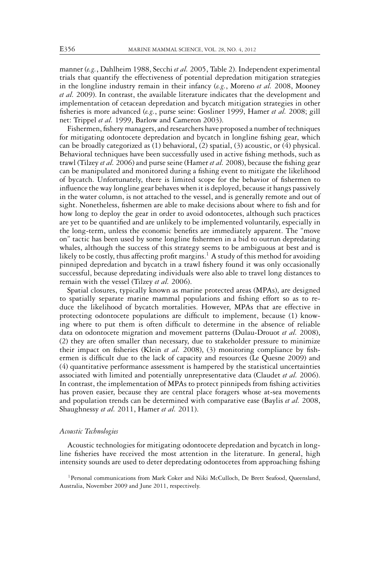manner (*e.g.*, Dahlheim 1988, Secchi *et al.* 2005, Table 2). Independent experimental trials that quantify the effectiveness of potential depredation mitigation strategies in the longline industry remain in their infancy (*e.g.*, Moreno *et al.* 2008, Mooney *et al.* 2009). In contrast, the available literature indicates that the development and implementation of cetacean depredation and bycatch mitigation strategies in other fisheries is more advanced (*e.g.*, purse seine: Gosliner 1999, Hamer *et al.* 2008; gill net: Trippel *et al.* 1999, Barlow and Cameron 2003).

Fishermen, fishery managers, and researchers have proposed a number of techniques for mitigating odontocete depredation and bycatch in longline fishing gear, which can be broadly categorized as (1) behavioral, (2) spatial, (3) acoustic, or (4) physical. Behavioral techniques have been successfully used in active fishing methods, such as trawl (Tilzey *et al.* 2006) and purse seine (Hamer *et al.* 2008), because the fishing gear can be manipulated and monitored during a fishing event to mitigate the likelihood of bycatch. Unfortunately, there is limited scope for the behavior of fishermen to influence the way longline gear behaves when it is deployed, because it hangs passively in the water column, is not attached to the vessel, and is generally remote and out of sight. Nonetheless, fishermen are able to make decisions about where to fish and for how long to deploy the gear in order to avoid odontocetes, although such practices are yet to be quantified and are unlikely to be implemented voluntarily, especially in the long-term, unless the economic benefits are immediately apparent. The "move on" tactic has been used by some longline fishermen in a bid to outrun depredating whales, although the success of this strategy seems to be ambiguous at best and is likely to be costly, thus affecting profit margins.<sup>1</sup> A study of this method for avoiding pinniped depredation and bycatch in a trawl fishery found it was only occasionally successful, because depredating individuals were also able to travel long distances to remain with the vessel (Tilzey *et al.* 2006).

Spatial closures, typically known as marine protected areas (MPAs), are designed to spatially separate marine mammal populations and fishing effort so as to reduce the likelihood of bycatch mortalities. However, MPAs that are effective in protecting odontocete populations are difficult to implement, because (1) knowing where to put them is often difficult to determine in the absence of reliable data on odontocete migration and movement patterns (Dulau-Drouot *et al.* 2008), (2) they are often smaller than necessary, due to stakeholder pressure to minimize their impact on fisheries (Klein *et al.* 2008), (3) monitoring compliance by fishermen is difficult due to the lack of capacity and resources (Le Quesne 2009) and (4) quantitative performance assessment is hampered by the statistical uncertainties associated with limited and potentially unrepresentative data (Claudet *et al.* 2006). In contrast, the implementation of MPAs to protect pinnipeds from fishing activities has proven easier, because they are central place foragers whose at-sea movements and population trends can be determined with comparative ease (Baylis *et al.* 2008, Shaughnessy *et al.* 2011, Hamer *et al.* 2011).

### *Acoustic Technologies*

Acoustic technologies for mitigating odontocete depredation and bycatch in longline fisheries have received the most attention in the literature. In general, high intensity sounds are used to deter depredating odontocetes from approaching fishing

<sup>1</sup> Personal communications from Mark Coker and Niki McCulloch, De Brett Seafood, Queensland, Australia, November 2009 and June 2011, respectively.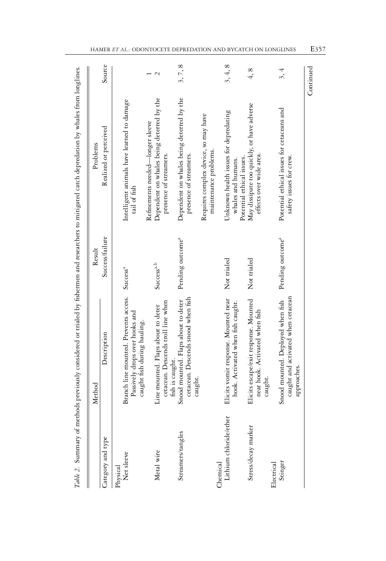|                                    | Method                                                                                                 | Result                       | Problems                                                                                                |         |
|------------------------------------|--------------------------------------------------------------------------------------------------------|------------------------------|---------------------------------------------------------------------------------------------------------|---------|
| Category and type                  | Description                                                                                            | Success/failure              | Realized or perceived                                                                                   | Source  |
| Net sleeve<br>Physical             | Branch line mounted. Prevents access.<br>Passively drops over hooks and<br>caught fish during hauling. | Success <sup>a</sup>         | Intelligent animals have learned to damage<br>tail of fish                                              |         |
| Metal wire                         | cetacean. Descends troll line when<br>Line mounted. Flaps about to deter                               | Success <sup>a,b</sup>       | Dependent on whales being deterred by the<br>Refinements needed—longer sleeve<br>presence of streamers. | $\sim$  |
| Streamers/tangles                  | cetacean. Descends snood when fish<br>Snood mounted. Flaps about to deter<br>fish is caught.           | Pending outcome <sup>a</sup> | Dependent on whales being deterred by the<br>presence of streamers.                                     | 3,7,8   |
|                                    | caught.                                                                                                |                              | Requires complex device, so may have<br>maintenance problems.                                           |         |
| Lithium chloride/ether<br>Chemical | Elicits vomit response. Mounted near<br>hook. Activated when fish caught.                              | Not trialed                  | Unknown health issues for depredating<br>whales and humans.                                             | 3, 4, 8 |
| Stress/decay marker                | Elicits escape/exit response. Mounted<br>near hook. Activated when fish<br>caught.                     | Not trialed                  | May dissipate too quickly, or have adverse<br>effects over wide area.<br>Potential ethical issues.      | 4, 8    |
| Stinger<br>Electrical              | caught and activated when cetacean<br>Snood mounted. Deployed when fish<br>approaches.                 | Pending outcome <sup>a</sup> | Potential ethical issues for cetaceans and<br>safety issues for crew.                                   | 3, 4    |

| HAMER ET AL.: ODONTOCETE DEPREDATION AND BYCATCH ON LONGLINES | E357 |
|---------------------------------------------------------------|------|
|                                                               |      |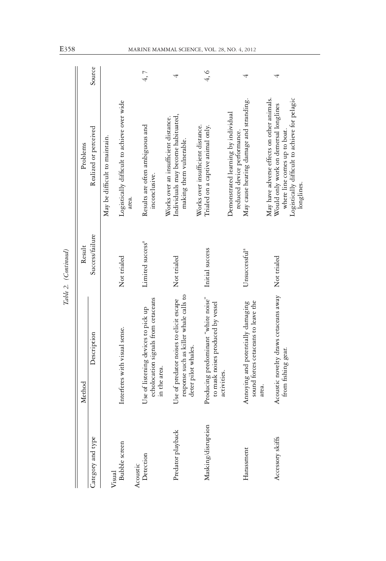|                      | Method                                                                                                   | Result                       | Problems                                                                                                                             |        |
|----------------------|----------------------------------------------------------------------------------------------------------|------------------------------|--------------------------------------------------------------------------------------------------------------------------------------|--------|
| Category and type    | Description                                                                                              | Success/failure              | Realized or perceived                                                                                                                | Source |
| Visual               |                                                                                                          |                              | May be difficult to maintain.                                                                                                        |        |
| <b>Bubble</b> screen | Interferes with visual sense.                                                                            | Not trialed                  | Logistically difficult to achieve over wide<br>area.                                                                                 |        |
| Acoustic             |                                                                                                          |                              |                                                                                                                                      |        |
| Detection            | echolocation signals from cetaceans<br>Use of listening devices to pick up<br>in the area.               | Limited success <sup>a</sup> | Results are often ambiguous and<br>inconclusive.                                                                                     | 4,7    |
|                      |                                                                                                          |                              | Works over an insufficient distance.                                                                                                 |        |
| Predator playback    | response such as killer whale calls to<br>Use of predator noises to elicit escape<br>deter pilot whales. | Not trialed                  | Individuals may become habituated,<br>making them vulnerable.                                                                        | 4      |
|                      |                                                                                                          |                              | Works over insufficient distance.                                                                                                    |        |
| Masking/disruption   | Producing predominant "white noise"<br>to mask noises produced by vessel<br>activities.                  | Initial success              | Trialed on a captive animal only.                                                                                                    | 4,6    |
|                      |                                                                                                          |                              | Demonstrated learning by individual<br>reduced device performance.                                                                   |        |
| Harassment           | sound forces cetaceans to leave the<br>Annoying and potentially damaging<br>area.                        | Unsuccessful <sup>a</sup>    | May cause hearing damage and stranding.                                                                                              | 4      |
|                      |                                                                                                          |                              | May have adverse effects on other animals.                                                                                           |        |
| Accessory skiffs     | Acoustic novelty draws cetaceans away<br>from fishing gear.                                              | Not trialed                  | Logistically difficult to achieve for pelagic<br>Would only work on demersal longlines<br>where line comes up to boat.<br>longlines. |        |

*Table 2. (Continued)*

Table 2. (Continued)

# E358 MARINE MAMMAL SCIENCE, VOL. 28, NO. 4, 2012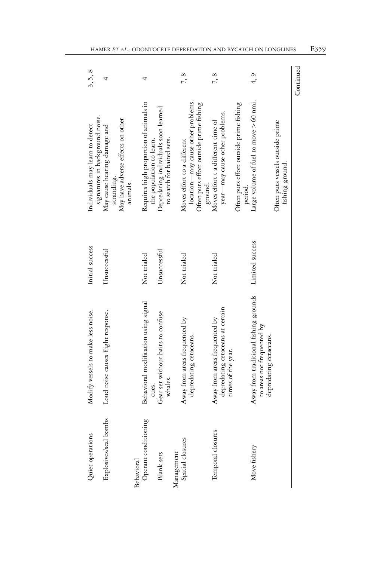| Continued |                                                                               |                 |                                                                     |                                    |
|-----------|-------------------------------------------------------------------------------|-----------------|---------------------------------------------------------------------|------------------------------------|
|           | Often puts vessels outside prime<br>fishing ground.                           |                 | depredating cetaceans.                                              |                                    |
| 4,9       | Large volume of fuel to move $>60$ nmi.                                       | Limited success | Away from traditional fishing grounds<br>to areas not frequented by | Move fishery                       |
|           | Often puts effort outside prime fishing<br>period.                            |                 |                                                                     |                                    |
|           | year—may cause other problems.                                                |                 | depredating cetaceans at certain<br>times of the year.              |                                    |
| 7,8       | Moves effort ta different time of<br>ground.                                  | Not trialed     | Away from areas frequented by                                       | Temporal closures                  |
|           | location-may cause other problems.<br>Often puts effort outside prime fishing |                 | depredating cetaceans.                                              |                                    |
| 7,8       | Moves effort to a different                                                   | Not trialed     | Away from areas frequented by                                       | Spatial closures<br>Management     |
|           | Depredating individuals soon learned<br>to search for baited sets.            | Unsuccessful    | Gear set without baits to confuse<br>whales.                        | <b>Blank</b> sets                  |
|           | the population to learn.                                                      |                 | cues.                                                               |                                    |
| 4         | Requires high proportion of animals in                                        | Not trialed     | Behavioral modification using signal                                | Operant conditioning<br>Behavioral |
|           | May have adverse effects on other<br>stranding.<br>animals.                   |                 |                                                                     |                                    |
| 4         | signatures in background noise.<br>May cause hearing damage and               | Unsuccessful    | Loud noise causes flight response.                                  | Explosives/seal bombs              |
| 3, 5, 8   | Individuals may learn to detect                                               | Initial success | Modify vessels to make less noise.                                  | Quiet operations                   |

HAMER *ET AL*.: ODONTOCETE DEPREDATION AND BYCATCH ON LONGLINES **E359**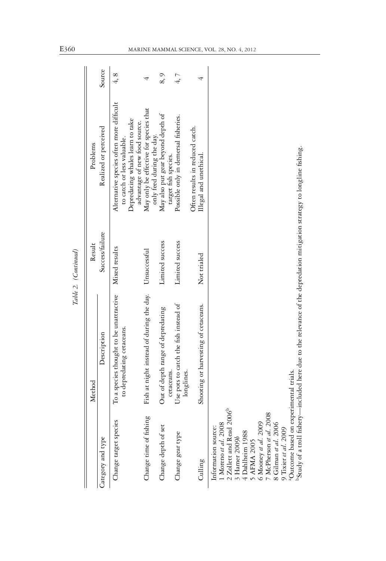|                                                                                                                                                                                                                                                                                                                          |                                                                                                                                    | Table 2. (Continued) |                                                                                                                                             |        |
|--------------------------------------------------------------------------------------------------------------------------------------------------------------------------------------------------------------------------------------------------------------------------------------------------------------------------|------------------------------------------------------------------------------------------------------------------------------------|----------------------|---------------------------------------------------------------------------------------------------------------------------------------------|--------|
|                                                                                                                                                                                                                                                                                                                          | Method                                                                                                                             | Result               | Problems                                                                                                                                    |        |
| Category and type                                                                                                                                                                                                                                                                                                        | Description                                                                                                                        | Success/failure      | Realized or perceived                                                                                                                       | Source |
| Change target species                                                                                                                                                                                                                                                                                                    | To a species thought to be unattractive<br>to depredating cetaceans.                                                               | Mixed results        | Alternative species often more difficult<br>Depredating whales learn to take<br>advantage of new food source.<br>to catch or less valuable. | 4, 8   |
| Change time of fishing                                                                                                                                                                                                                                                                                                   | Fish at night instead of during the day.                                                                                           | Unsuccessful         | May only be effective for species that<br>only feed during the day.                                                                         | 4      |
| Change depth of set                                                                                                                                                                                                                                                                                                      | Out of depth range of depredating<br>cetaceans.                                                                                    | Limited success      | May also put gear beyond depth of<br>target fish species.                                                                                   | 8,9    |
| Change gear type                                                                                                                                                                                                                                                                                                         | Use pots to catch the fish instead of<br>longlines.                                                                                | Limited success      | Possible only in demersal fisheries.                                                                                                        | 4, i   |
| Culling                                                                                                                                                                                                                                                                                                                  | Shooting or harvesting of cetaceans.                                                                                               | Not trialed          | Often results in reduced catch.<br>Illegal and unethical.                                                                                   | 4      |
| <sup>a</sup> Outcome based on experimental trials.<br>$\hat{\tau}$<br>6 Mooney et al. 2009<br>7 McPherson et al. 2008<br>$2 \text{ Zollett and Read } 2006$<br>$3 \text{ Hamer } 2009b$<br>8 Gilman et al. 2006<br>1 Moreno et al. 2008<br>Information source:<br>9 Tixier et al. 2009<br>4 Dahlheim 1988<br>5 AFMA 2005 | $^{\rm b}$ Study of a troll fishery—included here due to the relevance of the depredation mitigation strategy to longline fishing. |                      |                                                                                                                                             |        |
|                                                                                                                                                                                                                                                                                                                          |                                                                                                                                    |                      |                                                                                                                                             |        |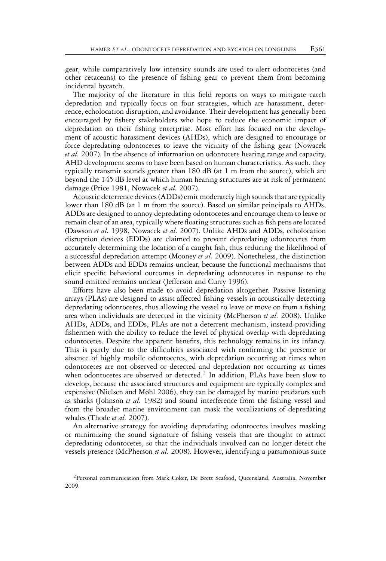gear, while comparatively low intensity sounds are used to alert odontocetes (and other cetaceans) to the presence of fishing gear to prevent them from becoming incidental bycatch.

The majority of the literature in this field reports on ways to mitigate catch depredation and typically focus on four strategies, which are harassment, deterrence, echolocation disruption, and avoidance. Their development has generally been encouraged by fishery stakeholders who hope to reduce the economic impact of depredation on their fishing enterprise. Most effort has focused on the development of acoustic harassment devices (AHDs), which are designed to encourage or force depredating odontocetes to leave the vicinity of the fishing gear (Nowacek *et al.* 2007). In the absence of information on odontocete hearing range and capacity, AHD development seems to have been based on human characteristics. As such, they typically transmit sounds greater than 180 dB (at 1 m from the source), which are beyond the 145 dB level at which human hearing structures are at risk of permanent damage (Price 1981, Nowacek *et al.* 2007).

Acoustic deterrence devices (ADDs) emit moderately high sounds that are typically lower than 180 dB (at 1 m from the source). Based on similar principals to AHDs, ADDs are designed to annoy depredating odontocetes and encourage them to leave or remain clear of an area, typically where floating structures such as fish pens are located (Dawson *et al.* 1998, Nowacek *et al.* 2007). Unlike AHDs and ADDs, echolocation disruption devices (EDDs) are claimed to prevent depredating odontocetes from accurately determining the location of a caught fish, thus reducing the likelihood of a successful depredation attempt (Mooney *et al.* 2009). Nonetheless, the distinction between ADDs and EDDs remains unclear, because the functional mechanisms that elicit specific behavioral outcomes in depredating odontocetes in response to the sound emitted remains unclear (Jefferson and Curry 1996).

Efforts have also been made to avoid depredation altogether. Passive listening arrays (PLAs) are designed to assist affected fishing vessels in acoustically detecting depredating odontocetes, thus allowing the vessel to leave or move on from a fishing area when individuals are detected in the vicinity (McPherson *et al.* 2008). Unlike AHDs, ADDs, and EDDs, PLAs are not a deterrent mechanism, instead providing fishermen with the ability to reduce the level of physical overlap with depredating odontocetes. Despite the apparent benefits, this technology remains in its infancy. This is partly due to the difficulties associated with confirming the presence or absence of highly mobile odontocetes, with depredation occurring at times when odontocetes are not observed or detected and depredation not occurring at times when odontocetes are observed or detected.<sup>2</sup> In addition, PLAs have been slow to develop, because the associated structures and equipment are typically complex and expensive (Nielsen and Møhl 2006), they can be damaged by marine predators such as sharks (Johnson *et al.* 1982) and sound interference from the fishing vessel and from the broader marine environment can mask the vocalizations of depredating whales (Thode *et al.* 2007).

An alternative strategy for avoiding depredating odontocetes involves masking or minimizing the sound signature of fishing vessels that are thought to attract depredating odontocetes, so that the individuals involved can no longer detect the vessels presence (McPherson *et al.* 2008). However, identifying a parsimonious suite

<sup>&</sup>lt;sup>2</sup> Personal communication from Mark Coker, De Brett Seafood, Queensland, Australia, November 2009.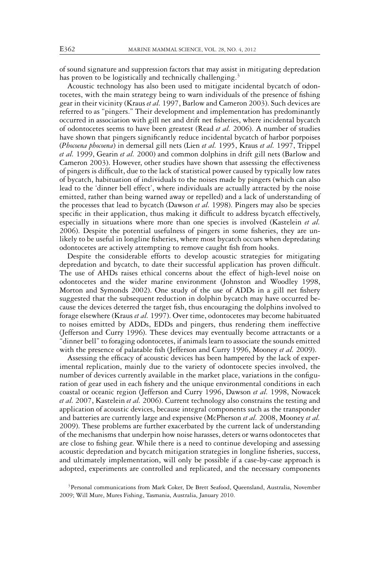of sound signature and suppression factors that may assist in mitigating depredation has proven to be logistically and technically challenging.<sup>3</sup>

Acoustic technology has also been used to mitigate incidental bycatch of odontocetes, with the main strategy being to warn individuals of the presence of fishing gear in their vicinity (Kraus *et al.* 1997, Barlow and Cameron 2003). Such devices are referred to as "pingers." Their development and implementation has predominantly occurred in association with gill net and drift net fisheries, where incidental bycatch of odontocetes seems to have been greatest (Read *et al.* 2006). A number of studies have shown that pingers significantly reduce incidental bycatch of harbor porpoises (*Phocoena phocoena*) in demersal gill nets (Lien *et al.* 1995, Kraus *et al.* 1997, Trippel *et al.* 1999, Gearin *et al.* 2000) and common dolphins in drift gill nets (Barlow and Cameron 2003). However, other studies have shown that assessing the effectiveness of pingers is difficult, due to the lack of statistical power caused by typically low rates of bycatch, habituation of individuals to the noises made by pingers (which can also lead to the 'dinner bell effect', where individuals are actually attracted by the noise emitted, rather than being warned away or repelled) and a lack of understanding of the processes that lead to bycatch (Dawson *et al.* 1998). Pingers may also be species specific in their application, thus making it difficult to address bycatch effectively, especially in situations where more than one species is involved (Kastelein *et al.* 2006). Despite the potential usefulness of pingers in some fisheries, they are unlikely to be useful in longline fisheries, where most bycatch occurs when depredating odontocetes are actively attempting to remove caught fish from hooks.

Despite the considerable efforts to develop acoustic strategies for mitigating depredation and bycatch, to date their successful application has proven difficult. The use of AHDs raises ethical concerns about the effect of high-level noise on odontocetes and the wider marine environment (Johnston and Woodley 1998, Morton and Symonds 2002). One study of the use of ADDs in a gill net fishery suggested that the subsequent reduction in dolphin bycatch may have occurred because the devices deterred the target fish, thus encouraging the dolphins involved to forage elsewhere (Kraus *et al.* 1997). Over time, odontocetes may become habituated to noises emitted by ADDs, EDDs and pingers, thus rendering them ineffective (Jefferson and Curry 1996). These devices may eventually become attractants or a "dinner bell" to foraging odontocetes, if animals learn to associate the sounds emitted with the presence of palatable fish (Jefferson and Curry 1996, Mooney *et al.* 2009).

Assessing the efficacy of acoustic devices has been hampered by the lack of experimental replication, mainly due to the variety of odontocete species involved, the number of devices currently available in the market place, variations in the configuration of gear used in each fishery and the unique environmental conditions in each coastal or oceanic region (Jefferson and Curry 1996, Dawson *et al.* 1998, Nowacek *et al.* 2007, Kastelein *et al.* 2006). Current technology also constrains the testing and application of acoustic devices, because integral components such as the transponder and batteries are currently large and expensive (McPherson *et al.* 2008, Mooney *et al.* 2009). These problems are further exacerbated by the current lack of understanding of the mechanisms that underpin how noise harasses, deters or warns odontocetes that are close to fishing gear. While there is a need to continue developing and assessing acoustic depredation and bycatch mitigation strategies in longline fisheries, success, and ultimately implementation, will only be possible if a case-by-case approach is adopted, experiments are controlled and replicated, and the necessary components

<sup>&</sup>lt;sup>3</sup> Personal communications from Mark Coker, De Brett Seafood, Queensland, Australia, November 2009; Will Mure, Mures Fishing, Tasmania, Australia, January 2010.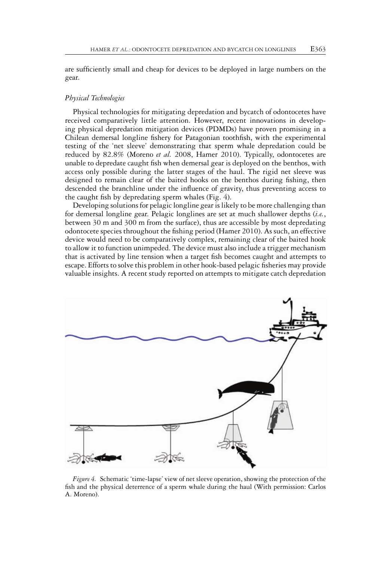are sufficiently small and cheap for devices to be deployed in large numbers on the gear.

### *Physical Technologies*

Physical technologies for mitigating depredation and bycatch of odontocetes have received comparatively little attention. However, recent innovations in developing physical depredation mitigation devices (PDMDs) have proven promising in a Chilean demersal longline fishery for Patagonian toothfish, with the experimental testing of the 'net sleeve' demonstrating that sperm whale depredation could be reduced by 82.8% (Moreno *et al.* 2008, Hamer 2010). Typically, odontocetes are unable to depredate caught fish when demersal gear is deployed on the benthos, with access only possible during the latter stages of the haul. The rigid net sleeve was designed to remain clear of the baited hooks on the benthos during fishing, then descended the branchline under the influence of gravity, thus preventing access to the caught fish by depredating sperm whales (Fig. 4).

Developing solutions for pelagic longline gear is likely to be more challenging than for demersal longline gear. Pelagic longlines are set at much shallower depths (*i.e.*, between 30 m and 300 m from the surface), thus are accessible by most depredating odontocete species throughout the fishing period (Hamer 2010). As such, an effective device would need to be comparatively complex, remaining clear of the baited hook to allow it to function unimpeded. The device must also include a trigger mechanism that is activated by line tension when a target fish becomes caught and attempts to escape. Efforts to solve this problem in other hook-based pelagic fisheries may provide valuable insights. A recent study reported on attempts to mitigate catch depredation



*Figure 4.* Schematic 'time-lapse' view of net sleeve operation, showing the protection of the fish and the physical deterrence of a sperm whale during the haul (With permission: Carlos A. Moreno).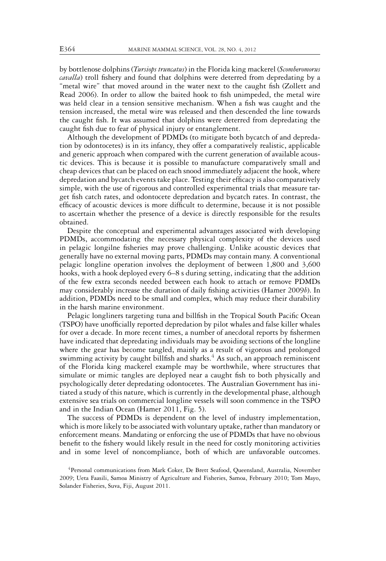by bottlenose dolphins (*Tursiops truncatus*) in the Florida king mackerel (*Scomberomorus cavalla*) troll fishery and found that dolphins were deterred from depredating by a "metal wire" that moved around in the water next to the caught fish (Zollett and Read 2006). In order to allow the baited hook to fish unimpeded, the metal wire was held clear in a tension sensitive mechanism. When a fish was caught and the tension increased, the metal wire was released and then descended the line towards the caught fish. It was assumed that dolphins were deterred from depredating the caught fish due to fear of physical injury or entanglement.

Although the development of PDMDs (to mitigate both bycatch of and depredation by odontocetes) is in its infancy, they offer a comparatively realistic, applicable and generic approach when compared with the current generation of available acoustic devices. This is because it is possible to manufacture comparatively small and cheap devices that can be placed on each snood immediately adjacent the hook, where depredation and bycatch events take place. Testing their efficacy is also comparatively simple, with the use of rigorous and controlled experimental trials that measure target fish catch rates, and odontocete depredation and bycatch rates. In contrast, the efficacy of acoustic devices is more difficult to determine, because it is not possible to ascertain whether the presence of a device is directly responsible for the results obtained.

Despite the conceptual and experimental advantages associated with developing PDMDs, accommodating the necessary physical complexity of the devices used in pelagic longilne fisheries may prove challenging. Unlike acoustic devices that generally have no external moving parts, PDMDs may contain many. A conventional pelagic longline operation involves the deployment of between 1,800 and 3,600 hooks, with a hook deployed every 6–8 s during setting, indicating that the addition of the few extra seconds needed between each hook to attach or remove PDMDs may considerably increase the duration of daily fishing activities (Hamer 2009*b*). In addition, PDMDs need to be small and complex, which may reduce their durability in the harsh marine environment.

Pelagic longliners targeting tuna and billfish in the Tropical South Pacific Ocean (TSPO) have unofficially reported depredation by pilot whales and false killer whales for over a decade. In more recent times, a number of anecdotal reports by fishermen have indicated that depredating individuals may be avoiding sections of the longline where the gear has become tangled, mainly as a result of vigorous and prolonged swimming activity by caught billfish and sharks. $4$  As such, an approach reminiscent of the Florida king mackerel example may be worthwhile, where structures that simulate or mimic tangles are deployed near a caught fish to both physically and psychologically deter depredating odontocetes. The Australian Government has initiated a study of this nature, which is currently in the developmental phase, although extensive sea trials on commercial longline vessels will soon commence in the TSPO and in the Indian Ocean (Hamer 2011, Fig. 5).

The success of PDMDs is dependent on the level of industry implementation, which is more likely to be associated with voluntary uptake, rather than mandatory or enforcement means. Mandating or enforcing the use of PDMDs that have no obvious benefit to the fishery would likely result in the need for costly monitoring activities and in some level of noncompliance, both of which are unfavorable outcomes.

<sup>&</sup>lt;sup>4</sup>Personal communications from Mark Coker, De Brett Seafood, Queensland, Australia, November 2009; Ueta Faasili, Samoa Ministry of Agriculture and Fisheries, Samoa, February 2010; Tom Mayo, Solander Fisheries, Suva, Fiji, August 2011.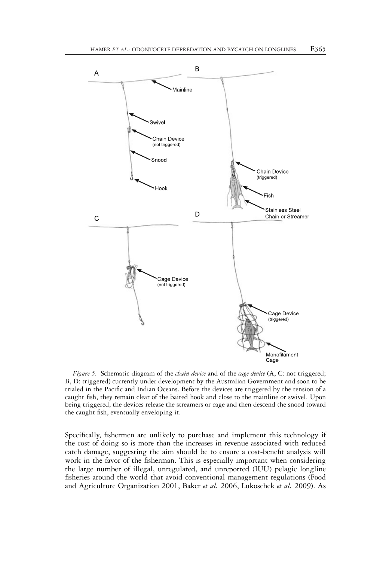

*Figure 5.* Schematic diagram of the *chain device* and of the *cage device* (A, C: not triggered; B, D: triggered) currently under development by the Australian Government and soon to be trialed in the Pacific and Indian Oceans. Before the devices are triggered by the tension of a caught fish, they remain clear of the baited hook and close to the mainline or swivel. Upon being triggered, the devices release the streamers or cage and then descend the snood toward the caught fish, eventually enveloping it.

Specifically, fishermen are unlikely to purchase and implement this technology if the cost of doing so is more than the increases in revenue associated with reduced catch damage, suggesting the aim should be to ensure a cost-benefit analysis will work in the favor of the fisherman. This is especially important when considering the large number of illegal, unregulated, and unreported (IUU) pelagic longline fisheries around the world that avoid conventional management regulations (Food and Agriculture Organization 2001, Baker *et al.* 2006, Lukoschek *et al.* 2009). As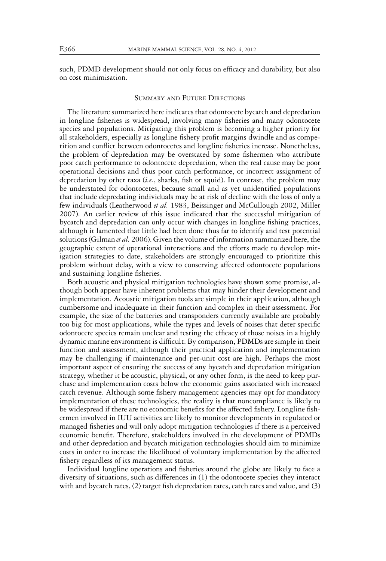such, PDMD development should not only focus on efficacy and durability, but also on cost minimisation.

# SUMMARY AND FUTURE DIRECTIONS

The literature summarized here indicates that odontocete bycatch and depredation in longline fisheries is widespread, involving many fisheries and many odontocete species and populations. Mitigating this problem is becoming a higher priority for all stakeholders, especially as longline fishery profit margins dwindle and as competition and conflict between odontocetes and longline fisheries increase. Nonetheless, the problem of depredation may be overstated by some fishermen who attribute poor catch performance to odontocete depredation, when the real cause may be poor operational decisions and thus poor catch performance, or incorrect assignment of depredation by other taxa (*i.e.*, sharks, fish or squid). In contrast, the problem may be understated for odontocetes, because small and as yet unidentified populations that include depredating individuals may be at risk of decline with the loss of only a few individuals (Leatherwood *et al.* 1983, Beissinger and McCullough 2002, Miller 2007). An earlier review of this issue indicated that the successful mitigation of bycatch and depredation can only occur with changes in longline fishing practices, although it lamented that little had been done thus far to identify and test potential solutions (Gilman *et al.* 2006). Given the volume of information summarized here, the geographic extent of operational interactions and the efforts made to develop mitigation strategies to date, stakeholders are strongly encouraged to prioritize this problem without delay, with a view to conserving affected odontocete populations and sustaining longline fisheries.

Both acoustic and physical mitigation technologies have shown some promise, although both appear have inherent problems that may hinder their development and implementation. Acoustic mitigation tools are simple in their application, although cumbersome and inadequate in their function and complex in their assessment. For example, the size of the batteries and transponders currently available are probably too big for most applications, while the types and levels of noises that deter specific odontocete species remain unclear and testing the efficacy of those noises in a highly dynamic marine environment is difficult. By comparison, PDMDs are simple in their function and assessment, although their practical application and implementation may be challenging if maintenance and per-unit cost are high. Perhaps the most important aspect of ensuring the success of any bycatch and depredation mitigation strategy, whether it be acoustic, physical, or any other form, is the need to keep purchase and implementation costs below the economic gains associated with increased catch revenue. Although some fishery management agencies may opt for mandatory implementation of these technologies, the reality is that noncompliance is likely to be widespread if there are no economic benefits for the affected fishery. Longline fishermen involved in IUU activities are likely to monitor developments in regulated or managed fisheries and will only adopt mitigation technologies if there is a perceived economic benefit. Therefore, stakeholders involved in the development of PDMDs and other depredation and bycatch mitigation technologies should aim to minimize costs in order to increase the likelihood of voluntary implementation by the affected fishery regardless of its management status.

Individual longline operations and fisheries around the globe are likely to face a diversity of situations, such as differences in (1) the odontocete species they interact with and bycatch rates, (2) target fish depredation rates, catch rates and value, and (3)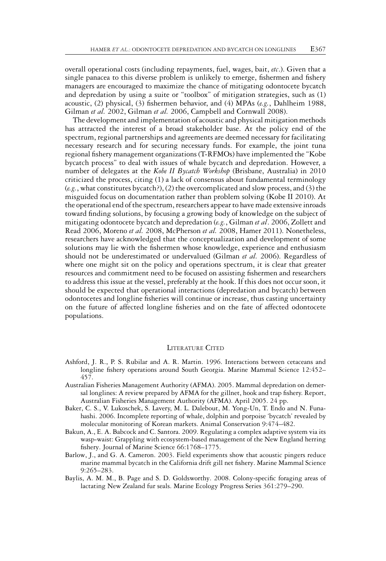overall operational costs (including repayments, fuel, wages, bait, *etc*.). Given that a single panacea to this diverse problem is unlikely to emerge, fishermen and fishery managers are encouraged to maximize the chance of mitigating odontocete bycatch and depredation by using a suite or "toolbox" of mitigation strategies, such as (1) acoustic, (2) physical, (3) fishermen behavior, and (4) MPAs (*e.g.*, Dahlheim 1988, Gilman *et al.* 2002, Gilman *et al.* 2006, Campbell and Cornwall 2008).

The development and implementation of acoustic and physical mitigation methods has attracted the interest of a broad stakeholder base. At the policy end of the spectrum, regional partnerships and agreements are deemed necessary for facilitating necessary research and for securing necessary funds. For example, the joint tuna regional fishery management organizations (T-RFMOs) have implemented the "Kobe bycatch process" to deal with issues of whale bycatch and depredation. However, a number of delegates at the *Kobe II Bycatch Workshop* (Brisbane, Australia) in 2010 criticized the process, citing (1) a lack of consensus about fundamental terminology (*e.g.*, what constitutes bycatch?), (2) the overcomplicated and slow process, and (3) the misguided focus on documentation rather than problem solving (Kobe II 2010). At the operational end of the spectrum, researchers appear to have made extensive inroads toward finding solutions, by focusing a growing body of knowledge on the subject of mitigating odontocete bycatch and depredation (*e.g.*, Gilman *et al*. 2006, Zollett and Read 2006, Moreno *et al.* 2008, McPherson *et al.* 2008, Hamer 2011). Nonetheless, researchers have acknowledged that the conceptualization and development of some solutions may lie with the fishermen whose knowledge, experience and enthusiasm should not be underestimated or undervalued (Gilman *et al.* 2006). Regardless of where one might sit on the policy and operations spectrum, it is clear that greater resources and commitment need to be focused on assisting fishermen and researchers to address this issue at the vessel, preferably at the hook. If this does not occur soon, it should be expected that operational interactions (depredation and bycatch) between odontocetes and longline fisheries will continue or increase, thus casting uncertainty on the future of affected longline fisheries and on the fate of affected odontocete populations.

#### LITERATURE CITED

- Ashford, J. R., P. S. Rubilar and A. R. Martin. 1996. Interactions between cetaceans and longline fishery operations around South Georgia. Marine Mammal Science 12:452– 457.
- Australian Fisheries Management Authority (AFMA). 2005. Mammal depredation on demersal longlines: A review prepared by AFMA for the gillnet, hook and trap fishery. Report, Australian Fisheries Management Authority (AFMA). April 2005. 24 pp.
- Baker, C. S., V. Lukoschek, S. Lavery, M. L. Dalebout, M. Yong-Un, T. Endo and N. Funahashi. 2006. Incomplete reporting of whale, dolphin and porpoise 'bycatch' revealed by molecular monitoring of Korean markets. Animal Conservation 9:474–482.
- Bakun, A., E. A. Babcock and C. Santora. 2009. Regulating a complex adaptive system via its wasp-waist: Grappling with ecosystem-based management of the New England herring fishery. Journal of Marine Science 66:1768–1775.
- Barlow, J., and G. A. Cameron. 2003. Field experiments show that acoustic pingers reduce marine mammal bycatch in the California drift gill net fishery. Marine Mammal Science 9:265–283.
- Baylis, A. M. M., B. Page and S. D. Goldsworthy. 2008. Colony-specific foraging areas of lactating New Zealand fur seals. Marine Ecology Progress Series 361:279–290.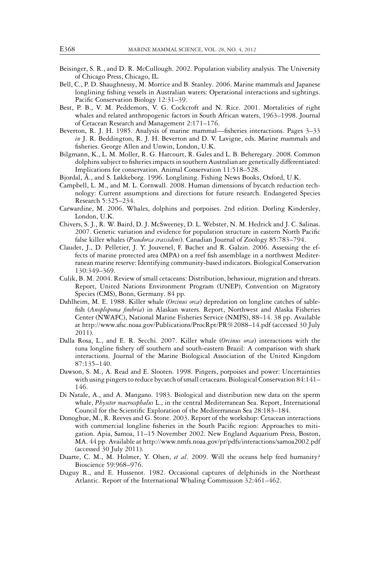- Beisinger, S. R., and D. R. McCullough. 2002. Population viability analysis. The University of Chicago Press, Chicago, IL.
- Bell, C., P. D. Shaughnessy, M. Morrice and B. Stanley. 2006. Marine mammals and Japanese longlining fishing vessels in Australian waters: Operational interactions and sightings. Pacific Conservation Biology 12:31–39.
- Best, P. B., V. M. Peddemors, V. G. Cockcroft and N. Rice. 2001. Mortalities of right whales and related anthropogenic factors in South African waters, 1963–1998. Journal of Cetacean Research and Management 2:171–176.
- Beverton, R. J. H. 1985. Analysis of marine mammal—fisheries interactions. Pages 3–33 *in* J. R. Beddington, R. J. H. Beverton and D. V. Lavigne, eds. Marine mammals and fisheries. George Allen and Unwin, London, U.K.
- Bilgmann, K., L. M. Moller, R. G. Harcourt, R. Gales and L. B. Beheregary. 2008. Common dolphins subject to fisheries impacts in southern Australian are genetically differentiated: Implications for conservation. Animal Conservation 11:518–528.
- Bjordal, A., and S. Løkkeborg. 1996. Longlining. Fishing News Books, Oxford, U.K. ˚
- Campbell, L. M., and M. L. Cornwall. 2008. Human dimensions of bycatch reduction technology: Current assumptions and directions for future research. Endangered Species Research 5:325–234.
- Carwardine, M. 2006. Whales, dolphins and porpoises. 2nd edition. Dorling Kindersley, London, U.K.
- Chivers, S. J., R. W. Baird, D. J. McSweeney, D. L. Webster, N. M. Hedrick and J. C. Salinas. 2007. Genetic variation and evidence for population structure in eastern North Pacific false killer whales (*Pseudorca crassidens*). Canadian Journal of Zoology 85:783–794.
- Claudet, J., D. Pelletier, J. Y. Jouvenel, F. Bachet and R. Galzin. 2006. Assessing the effects of marine protected area (MPA) on a reef fish assemblage in a northwest Mediterranean marine reserve: Identifying community-based indicators. Biological Conservation 130:349–369.
- Culik, B. M. 2004. Review of small cetaceans: Distribution, behaviour, migration and threats. Report, United Nations Environment Program (UNEP), Convention on Migratory Species (CMS), Bonn, Germany. 84 pp.
- Dahlheim, M. E. 1988. Killer whale (*Orcinus orca*) depredation on longline catches of sablefish (*Anoplopoma fimbria*) in Alaskan waters. Report, Northwest and Alaska Fisheries Center (NWAFC), National Marine Fisheries Service (NMFS), 88–14. 38 pp. Available at http://www.afsc.noaa.gov/Publications/ProcRpt/PR%2088–14.pdf (accessed 30 July 2011).
- Dalla Rosa, L., and E. R. Secchi. 2007. Killer whale (*Orcinus orca*) interactions with the tuna longline fishery off southern and south-eastern Brazil: A comparison with shark interactions. Journal of the Marine Biological Association of the United Kingdom 87:135–140.
- Dawson, S. M., A. Read and E. Slooten. 1998. Pingers, porpoises and power: Uncertainties with using pingers to reduce bycatch of small cetaceans. Biological Conservation 84:141– 146.
- Di Natale, A., and A. Mangano. 1983. Biological and distribution new data on the sperm whale, *Physeter macrocephalus* L., in the central Mediterranean Sea. Report, International Council for the Scientific Exploration of the Mediterranean Sea 28:183–184.
- Donoghue, M., R. Reeves and G. Stone. 2003. Report of the workshop: Cetacean interactions with commercial longline fisheries in the South Pacific region: Approaches to mitigation. Apia, Samoa, 11–15 November 2002. New England Aquarium Press, Boston, MA. 44 pp. Available at http://www.nmfs.noaa.gov/pr/pdfs/interactions/samoa2002.pdf (accessed 30 July 2011).
- Duarte, C. M., M. Holmer, Y. Olsen, *et al*. 2009. Will the oceans help feed humanity? Bioscience 59:968–976.
- Duguy R., and E. Hussenot. 1982. Occasional captures of delphinids in the Northeast Atlantic. Report of the International Whaling Commission 32:461–462.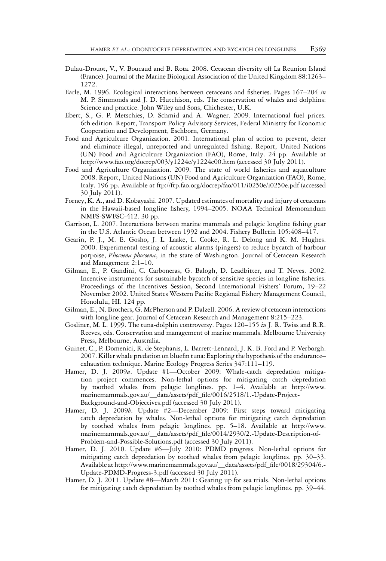- Dulau-Drouot, V., V. Boucaud and B. Rota. 2008. Cetacean diversity off La Reunion Island (France). Journal of the Marine Biological Association of the United Kingdom 88:1263– 1272.
- Earle, M. 1996. Ecological interactions between cetaceans and fisheries. Pages 167–204 *in* M. P. Simmonds and J. D. Hutchison, eds. The conservation of whales and dolphins: Science and practice. John Wiley and Sons, Chichester, U.K.
- Ebert, S., G. P. Metschies, D. Schmid and A. Wagner. 2009. International fuel prices. 6th edition. Report, Transport Policy Advisory Services, Federal Ministry for Economic Cooperation and Development, Eschborn, Germany.
- Food and Agriculture Organization. 2001. International plan of action to prevent, deter and eliminate illegal, unreported and unregulated fishing. Report, United Nations (UN) Food and Agriculture Organization (FAO), Rome, Italy. 24 pp. Available at http://www.fao.org/docrep/003/y1224e/y1224e00.htm (accessed 30 July 2011).
- Food and Agriculture Organization. 2009. The state of world fisheries and aquaculture 2008. Report, United Nations (UN) Food and Agriculture Organization (FAO), Rome, Italy. 196 pp. Available at ftp://ftp.fao.org/docrep/fao/011/i0250e/i0250e.pdf (accessed 30 July 2011).
- Forney, K. A., and D. Kobayashi. 2007. Updated estimates of mortality and injury of cetaceans in the Hawaii-based longline fishery, 1994–2005. NOAA Technical Memorandum NMFS-SWFSC-412. 30 pp.
- Garrison, L. 2007. Interactions between marine mammals and pelagic longline fishing gear in the U.S. Atlantic Ocean between 1992 and 2004. Fishery Bulletin 105:408–417.
- Gearin, P. J., M. E. Gosho, J. L. Laake, L. Cooke, R. L. Delong and K. M. Hughes. 2000. Experimental testing of acoustic alarms (pingers) to reduce bycatch of harbour porpoise, *Phocoena phocoena*, in the state of Washington. Journal of Cetacean Research and Management 2:1–10.
- Gilman, E., P. Gandini, C. Carboneras, G. Balogh, D. Leadbitter, and T. Neves. 2002. Incentive instruments for sustainable bycatch of sensitive species in longline fisheries. Proceedings of the Incentives Session, Second International Fishers' Forum, 19–22 November 2002. United States Western Pacific Regional Fishery Management Council, Honolulu, HI. 124 pp.
- Gilman, E., N. Brothers, G. McPherson and P. Dalzell. 2006. A review of cetacean interactions with longline gear. Journal of Cetacean Research and Management 8:215–223.
- Gosliner, M. L. 1999. The tuna-dolphin controversy. Pages 120–155 *in* J. R. Twiss and R.R. Reeves, eds. Conservation and management of marine mammals. Melbourne University Press, Melbourne, Australia.
- Guinet, C., P. Domenici, R. de Stephanis, L. Barrett-Lennard, J. K. B. Ford and P. Verborgh. 2007. Killer whale predation on bluefin tuna: Exploring the hypothesis of the endurance– exhaustion technique. Marine Ecology Progress Series 347:111–119.
- Hamer, D. J. 2009*a*. Update #1—October 2009: Whale-catch depredation mitigation project commences. Non-lethal options for mitigating catch depredation by toothed whales from pelagic longlines. pp. 1–4. Available at http://www. marinemammals.gov.au/\_\_data/assets/pdf\_file/0016/2518/1.-Update-Project-Background-and-Objectives.pdf (accessed 30 July 2011).
- Hamer, D. J. 2009*b*. Update #2—December 2009: First steps toward mitigating catch depredation by whales. Non-lethal options for mitigating catch depredation by toothed whales from pelagic longlines. pp. 5–18. Available at http://www. marinemammals.gov.au/\_\_data/assets/pdf\_file/0014/2930/2.-Update-Description-of-Problem-and-Possible-Solutions.pdf (accessed 30 July 2011).
- Hamer, D. J. 2010. Update #6—July 2010: PDMD progress. Non-lethal options for mitigating catch depredation by toothed whales from pelagic longlines. pp. 30–33. Available at http://www.marinemammals.gov.au/\_\_data/assets/pdf\_file/0018/29304/6.- Update-PDMD-Progress-3.pdf (accessed 30 July 2011).
- Hamer, D. J. 2011. Update #8—March 2011: Gearing up for sea trials. Non-lethal options for mitigating catch depredation by toothed whales from pelagic longlines. pp. 39–44.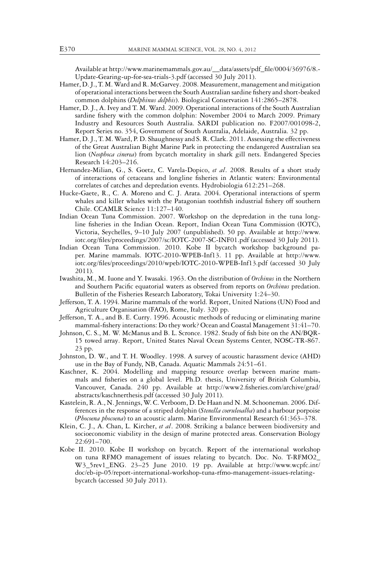Available at http://www.marinemammals.gov.au/\_\_data/assets/pdf\_file/0004/36976/8.- Update-Gearing-up-for-sea-trials-3.pdf (accessed 30 July 2011).

- Hamer, D. J., T. M.Ward and R. McGarvey. 2008. Measurement, management and mitigation of operational interactions between the South Australian sardine fishery and short-beaked common dolphins (*Delphinus delphis*). Biological Conservation 141:2865–2878.
- Hamer, D. J., A. Ivey and T. M. Ward. 2009. Operational interactions of the South Australian sardine fishery with the common dolphin: November 2004 to March 2009. Primary Industry and Resources South Australia. SARDI publication no. F2007/001098-2, Report Series no. 354, Government of South Australia, Adelaide, Australia. 32 pp.
- Hamer, D. J., T. M.Ward, P. D. Shaughnessy and S. R. Clark. 2011. Assessing the effectiveness of the Great Australian Bight Marine Park in protecting the endangered Australian sea lion (*Neophoca cinerea*) from bycatch mortality in shark gill nets. Endangered Species Research 14:203–216.
- Hernandez-Milian, G., S. Goetz, C. Varela-Dopico, *et al*. 2008. Results of a short study of interactions of cetaceans and longline fisheries in Atlantic waters: Environmental correlates of catches and depredation events. Hydrobiologia 612:251–268.
- Hucke-Gaete, R., C. A. Moreno and C. J. Arata. 2004. Operational interactions of sperm whales and killer whales with the Patagonian toothfish industrial fishery off southern Chile. CCAMLR Science 11:127–140.
- Indian Ocean Tuna Commission. 2007. Workshop on the depredation in the tuna longline fisheries in the Indian Ocean. Report, Indian Ocean Tuna Commission (IOTC), Victoria, Seychelles, 9–10 July 2007 (unpublished). 50 pp. Available at http://www. iotc.org/files/proceedings/2007/sc/IOTC-2007-SC-INF01.pdf (accessed 30 July 2011).
- Indian Ocean Tuna Commission. 2010. Kobe II bycatch workshop background paper. Marine mammals. IOTC-2010-WPEB-Inf13. 11 pp. Available at http://www. iotc.org/files/proceedings/2010/wpeb/IOTC-2010-WPEB-Inf13.pdf (accessed 30 July 2011).
- Iwashita, M., M. Iuone and Y. Iwasaki. 1963. On the distribution of *Orchinus* in the Northern and Southern Pacific equatorial waters as observed from reports on *Orchinus* predation. Bulletin of the Fisheries Research Laboratory, Tokai University 1:24–30.
- Jefferson, T. A. 1994. Marine mammals of the world. Report, United Nations (UN) Food and Agriculture Organisation (FAO), Rome, Italy. 320 pp.
- Jefferson, T. A., and B. E. Curry. 1996. Acoustic methods of reducing or eliminating marine mammal-fishery interactions: Do they work? Ocean and Coastal Management 31:41–70.
- Johnson, C. S., M. W. McManus and B. L. Scronce. 1982. Study of fish bite on the AN/BQR-15 towed array. Report, United States Naval Ocean Systems Center, NOSC-TR-867. 23 pp.
- Johnston, D. W., and T. H. Woodley. 1998. A survey of acoustic harassment device (AHD) use in the Bay of Fundy, NB, Canada. Aquatic Mammals 24:51–61.
- Kaschner, K. 2004. Modelling and mapping resource overlap between marine mammals and fisheries on a global level. Ph.D. thesis, University of British Columbia, Vancouver, Canada. 240 pp. Available at http://www2.fisheries.com/archive/grad/ abstracts/kaschnerthesis.pdf (accessed 30 July 2011).
- Kastelein, R. A., N. Jennings, W. C. Verboom, D. De Haan and N. M. Schooneman. 2006. Differences in the response of a striped dolphin (*Stenella coeruleoalba*) and a harbour porpoise (*Phocoena phocoena*) to an acoustic alarm. Marine Environmental Research 61:363–378.
- Klein, C. J., A. Chan, L. Kircher, *et al*. 2008. Striking a balance between biodiversity and socioeconomic viability in the design of marine protected areas. Conservation Biology 22:691–700.
- Kobe II. 2010. Kobe II workshop on bycatch. Report of the international workshop on tuna RFMO management of issues relating to bycatch. Doc. No. T-RFMO2\_ W3\_5rev1\_ENG. 23–25 June 2010. 19 pp. Available at http://www.wcpfc.int/ doc/eb-ip-05/report-international-workshop-tuna-rfmo-management-issues-relatingbycatch (accessed 30 July 2011).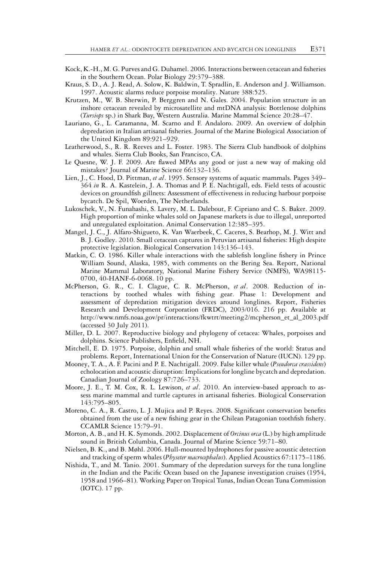- Kock, K.-H., M. G. Purves and G. Duhamel. 2006. Interactions between cetacean and fisheries in the Southern Ocean. Polar Biology 29:379–388.
- Kraus, S. D., A. J. Read, A. Solow, K. Baldwin, T. Spradlin, E. Anderson and J. Williamson. 1997. Acoustic alarms reduce porpoise morality. Nature 388:525.
- Krutzen, M., W. B. Sherwin, P. Berggren and N. Gales. 2004. Population structure in an inshore cetacean revealed by microsatellite and mtDNA analysis: Bottlenose dolphins (*Tursiops* sp.) in Shark Bay, Western Australia. Marine Mammal Science 20:28–47.
- Lauriano, G., L. Caramanna, M. Scarno and F. Andaloro. 2009. An overview of dolphin depredation in Italian artisanal fisheries. Journal of the Marine Biological Association of the United Kingdom 89:921–929.
- Leatherwood, S., R. R. Reeves and L. Foster. 1983. The Sierra Club handbook of dolphins and whales. Sierra Club Books, San Francisco, CA.
- Le Quesne, W. J. F. 2009. Are flawed MPAs any good or just a new way of making old mistakes? Journal of Marine Science 66:132–136.
- Lien, J., C. Hood, D. Pittman, *et al*. 1995. Sensory systems of aquatic mammals. Pages 349– 364 *in* R. A. Kastelein, J. A. Thomas and P. E. Nachtigall, eds. Field tests of acoustic devices on groundfish gillnets: Assessment of effectiveness in reducing harbour porpoise bycatch. De Spil, Woerden, The Netherlands.
- Lukoschek, V., N. Funahashi, S. Lavery, M. L. Dalebout, F. Cipriano and C. S. Baker. 2009. High proportion of minke whales sold on Japanese markets is due to illegal, unreported and unregulated exploitation. Animal Conservation 12:385–395.
- Mangel, J. C., J. Alfaro-Shigueto, K. Van Waerbeek, C. Caceres, S. Bearhop, M. J. Witt and B. J. Godley. 2010. Small cetacean captures in Peruvian artisanal fisheries: High despite protective legislation. Biological Conservation 143:136–143.
- Matkin, C. O. 1986. Killer whale interactions with the sablefish longline fishery in Prince William Sound, Alaska, 1985, with comments on the Bering Sea. Report, National Marine Mammal Laboratory, National Marine Fishery Service (NMFS), WA98115- 0700, 40-HANF-6-0068. 10 pp.
- McPherson, G. R., C. I. Clague, C. R. McPherson, *et al*. 2008. Reduction of interactions by toothed whales with fishing gear. Phase 1: Development and assessment of depredation mitigation devices around longlines. Report, Fisheries Research and Development Corporation (FRDC), 2003/016. 216 pp. Available at http://www.nmfs.noaa.gov/pr/interactions/fkwtrt/meeting2/mcpherson\_et\_al\_2003.pdf (accessed 30 July 2011).
- Miller, D. L. 2007. Reproductive biology and phylogeny of cetacea: Whales, porpoises and dolphins. Science Publishers, Enfield, NH.
- Mitchell, E. D. 1975. Porpoise, dolphin and small whale fisheries of the world: Status and problems. Report, International Union for the Conservation of Nature (IUCN). 129 pp.
- Mooney, T. A., A. F. Pacini and P. E. Nachtigall. 2009. False killer whale (*Pseudorca crassidens*) echolocation and acoustic disruption: Implications for longline bycatch and depredation. Canadian Journal of Zoology 87:726–733.
- Moore, J. E., T. M. Cox, R. L. Lewison, *et al*. 2010. An interview-based approach to assess marine mammal and turtle captures in artisanal fisheries. Biological Conservation 143:795–805.
- Moreno, C. A., R. Castro, L. J. Mujica and P. Reyes. 2008. Significant conservation benefits obtained from the use of a new fishing gear in the Chilean Patagonian toothfish fishery. CCAMLR Science 15:79–91.
- Morton, A. B., and H. K. Symonds. 2002. Displacement of *Orcinus orca* (L.) by high amplitude sound in British Columbia, Canada. Journal of Marine Science 59:71–80.
- Nielsen, B. K., and B. Møhl. 2006. Hull-mounted hydrophones for passive acoustic detection and tracking of sperm whales (*Physeter macrocephalus*). Applied Acoustics 67:1175–1186.
- Nishida, T., and M. Tanio. 2001. Summary of the depredation surveys for the tuna longline in the Indian and the Pacific Ocean based on the Japanese investigation cruises (1954, 1958 and 1966–81). Working Paper on Tropical Tunas, Indian Ocean Tuna Commission (IOTC). 17 pp.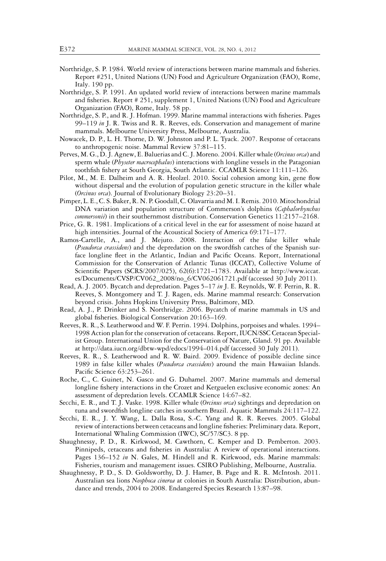- Northridge, S. P. 1984. World review of interactions between marine mammals and fisheries. Report #251, United Nations (UN) Food and Agriculture Organization (FAO), Rome, Italy. 190 pp.
- Northridge, S. P. 1991. An updated world review of interactions between marine mammals and fisheries. Report # 251, supplement 1, United Nations (UN) Food and Agriculture Organization (FAO), Rome, Italy. 58 pp.
- Northridge, S. P., and R. J. Hofman. 1999. Marine mammal interactions with fisheries. Pages 99–119 *in* J. R. Twiss and R. R. Reeves, eds. Conservation and management of marine mammals. Melbourne University Press, Melbourne, Australia.
- Nowacek, D. P., L. H. Thorne, D. W. Johnston and P. L. Tyack. 2007. Response of cetaceans to anthropogenic noise. Mammal Review 37:81–115.
- Perves, M. G., D. J. Agnew, E. Baluerias and C. J. Moreno. 2004. Killer whale (*Orcinus orca*) and sperm whale (*Physeter macrocephalus*) interactions with longline vessels in the Patagonian toothfish fishery at South Georgia, South Atlantic. CCAMLR Science 11:111–126.
- Pilot, M., M. E. Dalheim and A. R. Heolzel. 2010. Social cohesion among kin, gene flow without dispersal and the evolution of population genetic structure in the killer whale (*Orcinus orca*). Journal of Evolutionary Biology 23:20–31.
- Pimper, L. E., C. S. Baker, R. N. P. Goodall, C. Olavarria and M. I. Remis. 2010. Mitochondrial DNA variation and population structure of Commerson's dolphins (*Cephalorhynchus commersonii*) in their southernmost distribution. Conservation Genetics 11:2157–2168.
- Price, G. R. 1981. Implications of a critical level in the ear for assessment of noise hazard at high intensities. Journal of the Acoustical Society of America 69:171–177.
- Ramos-Cartelle, A., and J. Mejuto. 2008. Interaction of the false killer whale (*Pseudorca crassidens*) and the depredation on the swordfish catches of the Spanish surface longline fleet in the Atlantic, Indian and Pacific Oceans. Report, International Commission for the Conservation of Atlantic Tunas (ICCAT), Collective Volume of Scientific Papers (SCRS/2007/025), 62(6):1721–1783. Available at http://www.iccat. es/Documents/CVSP/CV062\_2008/no\_6/CV062061721.pdf (accessed 30 July 2011).
- Read, A. J. 2005. Bycatch and depredation. Pages 5–17 *in* J. E. Reynolds, W. F. Perrin, R. R. Reeves, S. Montgomery and T. J. Ragen, eds. Marine mammal research: Conservation beyond crisis. Johns Hopkins University Press, Baltimore, MD.
- Read, A. J., P. Drinker and S. Northridge. 2006. Bycatch of marine mammals in US and global fisheries. Biological Conservation 20:163–169.
- Reeves, R. R., S. Leatherwood and W. F. Perrin. 1994. Dolphins, porpoises and whales. 1994– 1998 Action plan for the conservation of cetaceans. Report, IUCN/SSC Cetacean Specialist Group. International Union for the Conservation of Nature, Gland. 91 pp. Available at http://data.iucn.org/dbtw-wpd/edocs/1994–014.pdf (accessed 30 July 2011).
- Reeves, R. R., S. Leatherwood and R. W. Baird. 2009. Evidence of possible decline since 1989 in false killer whales (*Pseudorca crassidens*) around the main Hawaiian Islands. Pacific Science 63:253–261.
- Roche, C., C. Guinet, N. Gasco and G. Duhamel. 2007. Marine mammals and demersal longline fishery interactions in the Crozet and Kerguelen exclusive economic zones: An assessment of depredation levels. CCAMLR Science 14:67–82.
- Secchi, E. R., and T. J. Vaske. 1998. Killer whale (*Orcinus orca*) sightings and depredation on tuna and swordfish longline catches in southern Brazil. Aquatic Mammals 24:117–122.
- Secchi, E. R., J. Y. Wang, L. Dalla Rosa, S.-C. Yang and R. R. Reeves. 2005. Global review of interactions between cetaceans and longline fisheries: Preliminary data. Report, International Whaling Commission (IWC), SC/57/SC3. 8 pp.
- Shaughnessy, P. D., R. Kirkwood, M. Cawthorn, C. Kemper and D. Pemberton. 2003. Pinnipeds, cetaceans and fisheries in Australia: A review of operational interactions. Pages 136–152 *in* N. Gales, M. Hindell and R. Kirkwood, eds. Marine mammals: Fisheries, tourism and management issues. CSIRO Publishing, Melbourne, Australia.
- Shaughnessy, P. D., S. D. Goldsworthy, D. J. Hamer, B. Page and R. R. McIntosh. 2011. Australian sea lions *Neophoca cinerea* at colonies in South Australia: Distribution, abundance and trends, 2004 to 2008. Endangered Species Research 13:87–98.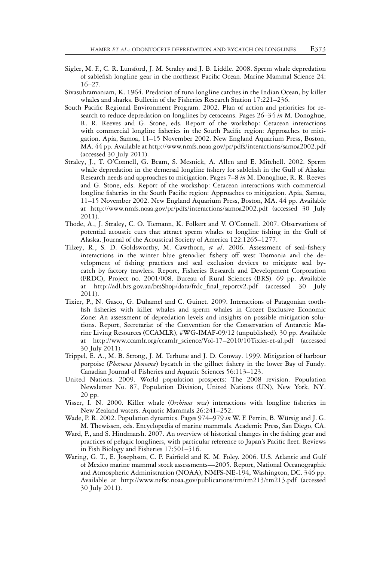- Sigler, M. F., C. R. Lunsford, J. M. Straley and J. B. Liddle. 2008. Sperm whale depredation of sablefish longline gear in the northeast Pacific Ocean. Marine Mammal Science 24: 16–27.
- Sivasubramaniam, K. 1964. Predation of tuna longline catches in the Indian Ocean, by killer whales and sharks. Bulletin of the Fisheries Research Station 17:221–236.
- South Pacific Regional Environment Program. 2002. Plan of action and priorities for research to reduce depredation on longlines by cetaceans. Pages 26–34 *in* M. Donoghue, R. R. Reeves and G. Stone, eds. Report of the workshop: Cetacean interactions with commercial longline fisheries in the South Pacific region: Approaches to mitigation. Apia, Samoa, 11–15 November 2002. New England Aquarium Press, Boston, MA. 44 pp. Available at http://www.nmfs.noaa.gov/pr/pdfs/interactions/samoa2002.pdf (accessed 30 July 2011).
- Straley, J., T. O'Connell, G. Beam, S. Mesnick, A. Allen and E. Mitchell. 2002. Sperm whale depredation in the demersal longline fishery for sablefish in the Gulf of Alaska: Research needs and approaches to mitigation. Pages 7–8 *in* M. Donoghue, R. R. Reeves and G. Stone, eds. Report of the workshop: Cetacean interactions with commercial longline fisheries in the South Pacific region: Approaches to mitigation. Apia, Samoa, 11–15 November 2002. New England Aquarium Press, Boston, MA. 44 pp. Available at http://www.nmfs.noaa.gov/pr/pdfs/interactions/samoa2002.pdf (accessed 30 July 2011).
- Thode, A., J. Straley, C. O. Tiemann, K. Folkert and V. O'Connell. 2007. Observations of potential acoustic cues that attract sperm whales to longline fishing in the Gulf of Alaska. Journal of the Acoustical Society of America 122:1265–1277.
- Tilzey, R., S. D. Goldsworthy, M. Cawthorn, *et al*. 2006. Assessment of seal-fishery interactions in the winter blue grenadier fishery off west Tasmania and the development of fishing practices and seal exclusion devices to mitigate seal bycatch by factory trawlers. Report, Fisheries Research and Development Corporation (FRDC), Project no. 2001/008. Bureau of Rural Sciences (BRS). 69 pp. Available at http://adl.brs.gov.au/brsShop/data/frdc\_final\_reportv2.pdf (accessed 30 July 2011).
- Tixier, P., N. Gasco, G. Duhamel and C. Guinet. 2009. Interactions of Patagonian toothfish fisheries with killer whales and sperm whales in Crozet Exclusive Economic Zone: An assessment of depredation levels and insights on possible mitigation solutions. Report, Secretariat of the Convention for the Conservation of Antarctic Marine Living Resources (CCAMLR), #WG-IMAF-09/12 (unpublished). 30 pp. Available at http://www.ccamlr.org/ccamlr\_science/Vol-17–2010/10Tixier-et-al.pdf (accessed 30 July 2011).
- Trippel, E. A., M. B. Strong, J. M. Terhune and J. D. Conway. 1999. Mitigation of harbour porpoise (*Phocoena phocoena*) bycatch in the gillnet fishery in the lower Bay of Fundy. Canadian Journal of Fisheries and Aquatic Sciences 56:113–123.
- United Nations. 2009. World population prospects: The 2008 revision. Population Newsletter No. 87, Population Division, United Nations (UN), New York, NY. 20 pp.
- Visser, I. N. 2000. Killer whale (*Orchinus orca*) interactions with longline fisheries in New Zealand waters. Aquatic Mammals 26:241–252.
- Wade, P. R. 2002. Population dynamics. Pages 974–979 *in* W. F. Perrin, B. Wursig and J. G. ¨ M. Thewissen, eds. Encyclopedia of marine mammals. Academic Press, San Diego, CA.
- Ward, P., and S. Hindmarsh. 2007. An overview of historical changes in the fishing gear and practices of pelagic longliners, with particular reference to Japan's Pacific fleet. Reviews in Fish Biology and Fisheries 17:501–516.
- Waring, G. T., E. Josephson, C. P. Fairfield and K. M. Foley. 2006. U.S. Atlantic and Gulf of Mexico marine mammal stock assessments—2005. Report, National Oceanographic and Atmospheric Administration (NOAA), NMFS-NE-194, Washington, DC. 346 pp. Available at http://www.nefsc.noaa.gov/publications/tm/tm213/tm213.pdf (accessed 30 July 2011).